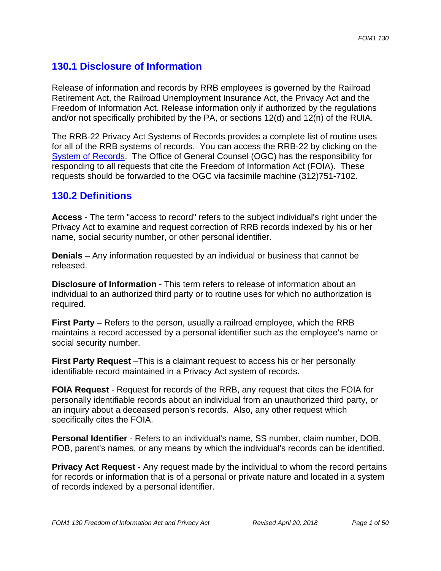# **130.1 Disclosure of Information**

Release of information and records by RRB employees is governed by the Railroad Retirement Act, the Railroad Unemployment Insurance Act, the Privacy Act and the Freedom of Information Act. Release information only if authorized by the regulations and/or not specifically prohibited by the PA, or sections 12(d) and 12(n) of the RUIA.

The RRB-22 Privacy Act Systems of Records provides a complete list of routine uses for all of the RRB systems of records. You can access the RRB-22 by clicking on the System of Records. The Office of General Counsel (OGC) has the responsibility for responding to all requests that cite the Freedom of Information Act (FOIA). These requests should be forwarded to the OGC via facsimile machine (312)751-7102.

# **130.2 Definitions**

**Access** - The term "access to record" refers to the subject individual's right under the Privacy Act to examine and request correction of RRB records indexed by his or her name, social security number, or other personal identifier.

**Denials** – Any information requested by an individual or business that cannot be released.

**Disclosure of Information** - This term refers to release of information about an individual to an authorized third party or to routine uses for which no authorization is required.

**First Party** – Refers to the person, usually a railroad employee, which the RRB maintains a record accessed by a personal identifier such as the employee's name or social security number.

**First Party Request** –This is a claimant request to access his or her personally identifiable record maintained in a Privacy Act system of records.

**FOIA Request** - Request for records of the RRB, any request that cites the FOIA for personally identifiable records about an individual from an unauthorized third party, or an inquiry about a deceased person's records. Also, any other request which specifically cites the FOIA.

**Personal Identifier** - Refers to an individual's name, SS number, claim number, DOB, POB, parent's names, or any means by which the individual's records can be identified.

**Privacy Act Request** - Any request made by the individual to whom the record pertains for records or information that is of a personal or private nature and located in a system of records indexed by a personal identifier.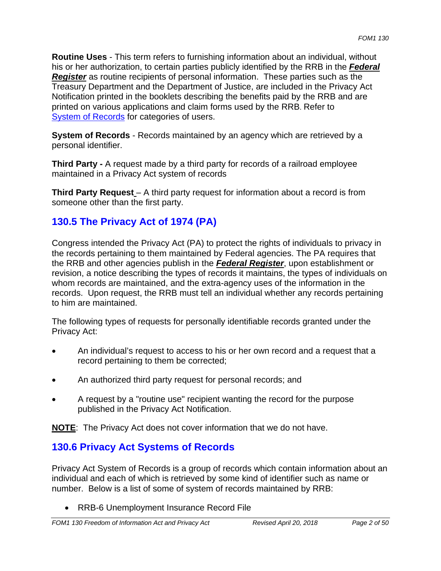**Routine Uses** - This term refers to furnishing information about an individual, without his or her authorization, to certain parties publicly identified by the RRB in the *Federal Register* as routine recipients of personal information. These parties such as the Treasury Department and the Department of Justice, are included in the Privacy Act Notification printed in the booklets describing the benefits paid by the RRB and are printed on various applications and claim forms used by the RRB. Refer to System of Records for categories of users.

**System of Records** - Records maintained by an agency which are retrieved by a personal identifier.

**Third Party -** A request made by a third party for records of a railroad employee maintained in a Privacy Act system of records

**Third Party Request** – A third party request for information about a record is from someone other than the first party.

# **130.5 The Privacy Act of 1974 (PA)**

Congress intended the Privacy Act (PA) to protect the rights of individuals to privacy in the records pertaining to them maintained by Federal agencies. The PA requires that the RRB and other agencies publish in the *Federal Register*, upon establishment or revision, a notice describing the types of records it maintains, the types of individuals on whom records are maintained, and the extra-agency uses of the information in the records. Upon request, the RRB must tell an individual whether any records pertaining to him are maintained.

The following types of requests for personally identifiable records granted under the Privacy Act:

- An individual's request to access to his or her own record and a request that a record pertaining to them be corrected;
- An authorized third party request for personal records; and
- A request by a "routine use" recipient wanting the record for the purpose published in the Privacy Act Notification.

**NOTE**: The Privacy Act does not cover information that we do not have.

# **130.6 Privacy Act Systems of Records**

Privacy Act System of Records is a group of records which contain information about an individual and each of which is retrieved by some kind of identifier such as name or number. Below is a list of some of system of records maintained by RRB:

RRB-6 Unemployment Insurance Record File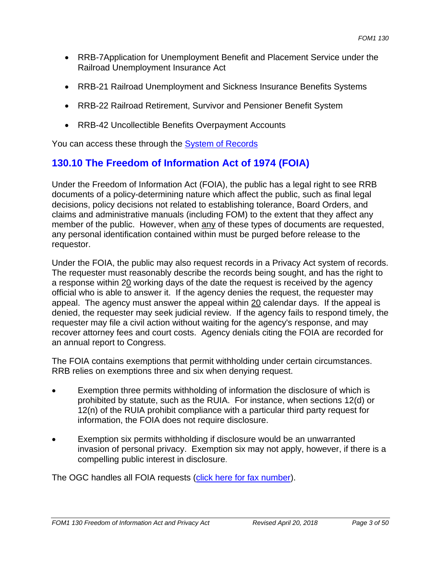- RRB-7Application for Unemployment Benefit and Placement Service under the Railroad Unemployment Insurance Act
- RRB-21 Railroad Unemployment and Sickness Insurance Benefits Systems
- RRB-22 Railroad Retirement, Survivor and Pensioner Benefit System
- RRB-42 Uncollectible Benefits Overpayment Accounts

You can access these through the System of Records

# **130.10 The Freedom of Information Act of 1974 (FOIA)**

Under the Freedom of Information Act (FOIA), the public has a legal right to see RRB documents of a policy-determining nature which affect the public, such as final legal decisions, policy decisions not related to establishing tolerance, Board Orders, and claims and administrative manuals (including FOM) to the extent that they affect any member of the public. However, when any of these types of documents are requested, any personal identification contained within must be purged before release to the requestor.

Under the FOIA, the public may also request records in a Privacy Act system of records. The requester must reasonably describe the records being sought, and has the right to a response within 20 working days of the date the request is received by the agency official who is able to answer it. If the agency denies the request, the requester may appeal. The agency must answer the appeal within  $20$  calendar days. If the appeal is denied, the requester may seek judicial review. If the agency fails to respond timely, the requester may file a civil action without waiting for the agency's response, and may recover attorney fees and court costs. Agency denials citing the FOIA are recorded for an annual report to Congress.

The FOIA contains exemptions that permit withholding under certain circumstances. RRB relies on exemptions three and six when denying request.

- Exemption three permits withholding of information the disclosure of which is prohibited by statute, such as the RUIA. For instance, when sections 12(d) or 12(n) of the RUIA prohibit compliance with a particular third party request for information, the FOIA does not require disclosure.
- Exemption six permits withholding if disclosure would be an unwarranted invasion of personal privacy. Exemption six may not apply, however, if there is a compelling public interest in disclosure.

The OGC handles all FOIA requests (click here for fax number).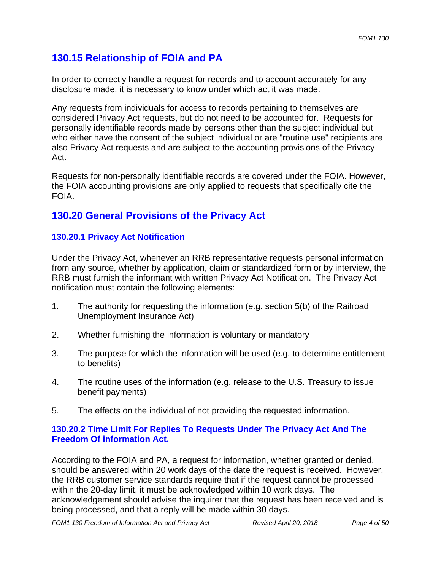# **130.15 Relationship of FOIA and PA**

In order to correctly handle a request for records and to account accurately for any disclosure made, it is necessary to know under which act it was made.

Any requests from individuals for access to records pertaining to themselves are considered Privacy Act requests, but do not need to be accounted for. Requests for personally identifiable records made by persons other than the subject individual but who either have the consent of the subject individual or are "routine use" recipients are also Privacy Act requests and are subject to the accounting provisions of the Privacy Act.

Requests for non-personally identifiable records are covered under the FOIA. However, the FOIA accounting provisions are only applied to requests that specifically cite the **FOIA** 

# **130.20 General Provisions of the Privacy Act**

## **130.20.1 Privacy Act Notification**

Under the Privacy Act, whenever an RRB representative requests personal information from any source, whether by application, claim or standardized form or by interview, the RRB must furnish the informant with written Privacy Act Notification. The Privacy Act notification must contain the following elements:

- 1. The authority for requesting the information (e.g. section 5(b) of the Railroad Unemployment Insurance Act)
- 2. Whether furnishing the information is voluntary or mandatory
- 3. The purpose for which the information will be used (e.g. to determine entitlement to benefits)
- 4. The routine uses of the information (e.g. release to the U.S. Treasury to issue benefit payments)
- 5. The effects on the individual of not providing the requested information.

## **130.20.2 Time Limit For Replies To Requests Under The Privacy Act And The Freedom Of information Act.**

According to the FOIA and PA, a request for information, whether granted or denied, should be answered within 20 work days of the date the request is received. However, the RRB customer service standards require that if the request cannot be processed within the 20-day limit, it must be acknowledged within 10 work days. The acknowledgement should advise the inquirer that the request has been received and is being processed, and that a reply will be made within 30 days.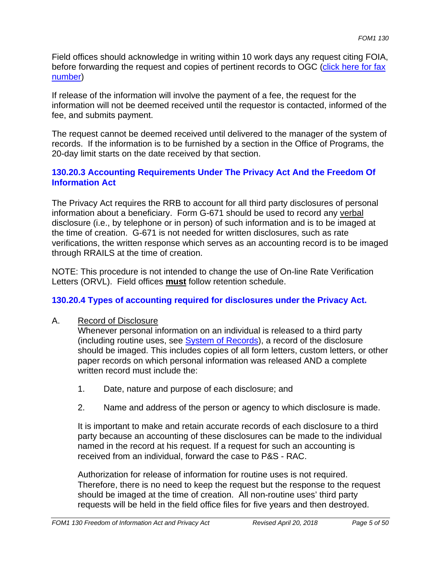Field offices should acknowledge in writing within 10 work days any request citing FOIA, before forwarding the request and copies of pertinent records to OGC (click here for fax number)

If release of the information will involve the payment of a fee, the request for the information will not be deemed received until the requestor is contacted, informed of the fee, and submits payment.

The request cannot be deemed received until delivered to the manager of the system of records. If the information is to be furnished by a section in the Office of Programs, the 20-day limit starts on the date received by that section.

## **130.20.3 Accounting Requirements Under The Privacy Act And the Freedom Of Information Act**

The Privacy Act requires the RRB to account for all third party disclosures of personal information about a beneficiary. Form G-671 should be used to record any verbal disclosure (i.e., by telephone or in person) of such information and is to be imaged at the time of creation. G-671 is not needed for written disclosures, such as rate verifications, the written response which serves as an accounting record is to be imaged through RRAILS at the time of creation.

NOTE: This procedure is not intended to change the use of On-line Rate Verification Letters (ORVL). Field offices **must** follow retention schedule.

## **130.20.4 Types of accounting required for disclosures under the Privacy Act.**

## A. Record of Disclosure

Whenever personal information on an individual is released to a third party (including routine uses, see **System of Records**), a record of the disclosure should be imaged. This includes copies of all form letters, custom letters, or other paper records on which personal information was released AND a complete written record must include the:

- 1. Date, nature and purpose of each disclosure; and
- 2. Name and address of the person or agency to which disclosure is made.

It is important to make and retain accurate records of each disclosure to a third party because an accounting of these disclosures can be made to the individual named in the record at his request. If a request for such an accounting is received from an individual, forward the case to P&S - RAC.

Authorization for release of information for routine uses is not required. Therefore, there is no need to keep the request but the response to the request should be imaged at the time of creation. All non-routine uses' third party requests will be held in the field office files for five years and then destroyed.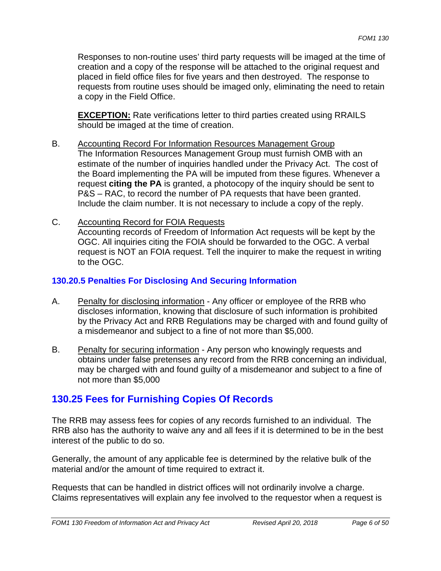Responses to non-routine uses' third party requests will be imaged at the time of creation and a copy of the response will be attached to the original request and placed in field office files for five years and then destroyed. The response to requests from routine uses should be imaged only, eliminating the need to retain a copy in the Field Office.

**EXCEPTION:** Rate verifications letter to third parties created using RRAILS should be imaged at the time of creation.

- B. Accounting Record For Information Resources Management Group The Information Resources Management Group must furnish OMB with an estimate of the number of inquiries handled under the Privacy Act. The cost of the Board implementing the PA will be imputed from these figures. Whenever a request **citing the PA** is granted, a photocopy of the inquiry should be sent to P&S – RAC, to record the number of PA requests that have been granted. Include the claim number. It is not necessary to include a copy of the reply.
- C. Accounting Record for FOIA Requests Accounting records of Freedom of Information Act requests will be kept by the OGC. All inquiries citing the FOIA should be forwarded to the OGC. A verbal request is NOT an FOIA request. Tell the inquirer to make the request in writing to the OGC.

## **130.20.5 Penalties For Disclosing And Securing Information**

- A. Penalty for disclosing information Any officer or employee of the RRB who discloses information, knowing that disclosure of such information is prohibited by the Privacy Act and RRB Regulations may be charged with and found guilty of a misdemeanor and subject to a fine of not more than \$5,000.
- B. Penalty for securing information Any person who knowingly requests and obtains under false pretenses any record from the RRB concerning an individual, may be charged with and found guilty of a misdemeanor and subject to a fine of not more than \$5,000

# **130.25 Fees for Furnishing Copies Of Records**

The RRB may assess fees for copies of any records furnished to an individual. The RRB also has the authority to waive any and all fees if it is determined to be in the best interest of the public to do so.

Generally, the amount of any applicable fee is determined by the relative bulk of the material and/or the amount of time required to extract it.

Requests that can be handled in district offices will not ordinarily involve a charge. Claims representatives will explain any fee involved to the requestor when a request is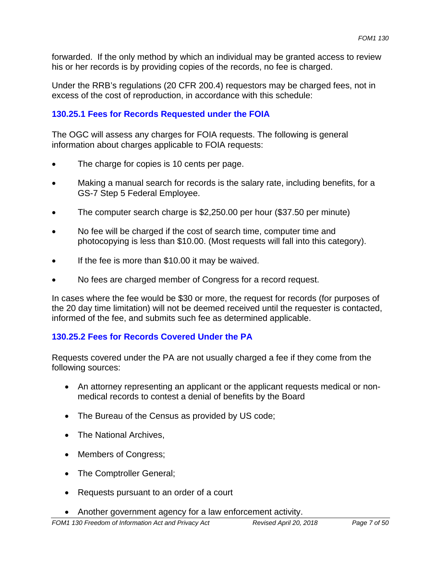forwarded. If the only method by which an individual may be granted access to review his or her records is by providing copies of the records, no fee is charged.

Under the RRB's regulations (20 CFR 200.4) requestors may be charged fees, not in excess of the cost of reproduction, in accordance with this schedule:

#### **130.25.1 Fees for Records Requested under the FOIA**

The OGC will assess any charges for FOIA requests. The following is general information about charges applicable to FOIA requests:

- The charge for copies is 10 cents per page.
- Making a manual search for records is the salary rate, including benefits, for a GS-7 Step 5 Federal Employee.
- The computer search charge is \$2,250.00 per hour (\$37.50 per minute)
- No fee will be charged if the cost of search time, computer time and photocopying is less than \$10.00. (Most requests will fall into this category).
- If the fee is more than \$10.00 it may be waived.
- No fees are charged member of Congress for a record request.

In cases where the fee would be \$30 or more, the request for records (for purposes of the 20 day time limitation) will not be deemed received until the requester is contacted, informed of the fee, and submits such fee as determined applicable.

#### **130.25.2 Fees for Records Covered Under the PA**

Requests covered under the PA are not usually charged a fee if they come from the following sources:

- An attorney representing an applicant or the applicant requests medical or nonmedical records to contest a denial of benefits by the Board
- The Bureau of the Census as provided by US code;
- The National Archives,
- Members of Congress;
- The Comptroller General;
- Requests pursuant to an order of a court
- Another government agency for a law enforcement activity.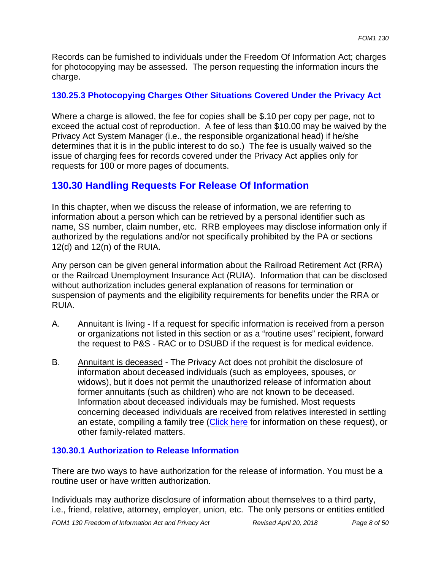Records can be furnished to individuals under the Freedom Of Information Act; charges for photocopying may be assessed. The person requesting the information incurs the charge.

## **130.25.3 Photocopying Charges Other Situations Covered Under the Privacy Act**

Where a charge is allowed, the fee for copies shall be \$.10 per copy per page, not to exceed the actual cost of reproduction. A fee of less than \$10.00 may be waived by the Privacy Act System Manager (i.e., the responsible organizational head) if he/she determines that it is in the public interest to do so.) The fee is usually waived so the issue of charging fees for records covered under the Privacy Act applies only for requests for 100 or more pages of documents.

# **130.30 Handling Requests For Release Of Information**

In this chapter, when we discuss the release of information, we are referring to information about a person which can be retrieved by a personal identifier such as name, SS number, claim number, etc. RRB employees may disclose information only if authorized by the regulations and/or not specifically prohibited by the PA or sections 12(d) and 12(n) of the RUIA.

Any person can be given general information about the Railroad Retirement Act (RRA) or the Railroad Unemployment Insurance Act (RUIA). Information that can be disclosed without authorization includes general explanation of reasons for termination or suspension of payments and the eligibility requirements for benefits under the RRA or RUIA.

- A. Annuitant is living If a request for specific information is received from a person or organizations not listed in this section or as a "routine uses" recipient, forward the request to P&S - RAC or to DSUBD if the request is for medical evidence.
- B. Annuitant is deceased The Privacy Act does not prohibit the disclosure of information about deceased individuals (such as employees, spouses, or widows), but it does not permit the unauthorized release of information about former annuitants (such as children) who are not known to be deceased. Information about deceased individuals may be furnished. Most requests concerning deceased individuals are received from relatives interested in settling an estate, compiling a family tree (Click here for information on these request), or other family-related matters.

## **130.30.1 Authorization to Release Information**

There are two ways to have authorization for the release of information. You must be a routine user or have written authorization.

Individuals may authorize disclosure of information about themselves to a third party, i.e., friend, relative, attorney, employer, union, etc. The only persons or entities entitled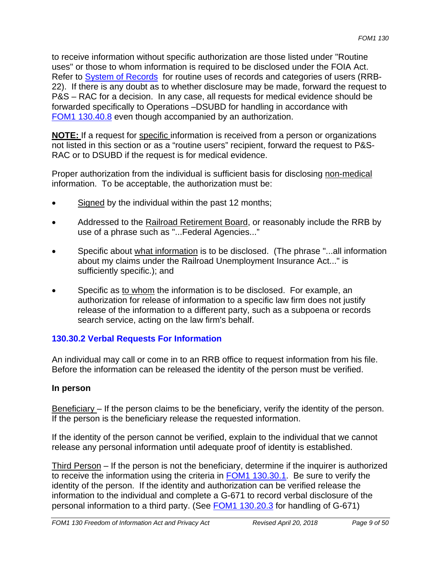to receive information without specific authorization are those listed under "Routine uses" or those to whom information is required to be disclosed under the FOIA Act. Refer to System of Records for routine uses of records and categories of users (RRB-22). If there is any doubt as to whether disclosure may be made, forward the request to P&S – RAC for a decision. In any case, all requests for medical evidence should be forwarded specifically to Operations –DSUBD for handling in accordance with FOM1 130.40.8 even though accompanied by an authorization.

**NOTE:** If a request for specific information is received from a person or organizations not listed in this section or as a "routine users" recipient, forward the request to P&S-RAC or to DSUBD if the request is for medical evidence.

Proper authorization from the individual is sufficient basis for disclosing non-medical information. To be acceptable, the authorization must be:

- Signed by the individual within the past 12 months;
- Addressed to the Railroad Retirement Board, or reasonably include the RRB by use of a phrase such as "...Federal Agencies..."
- Specific about what information is to be disclosed. (The phrase "...all information about my claims under the Railroad Unemployment Insurance Act..." is sufficiently specific.); and
- Specific as to whom the information is to be disclosed. For example, an authorization for release of information to a specific law firm does not justify release of the information to a different party, such as a subpoena or records search service, acting on the law firm's behalf.

# **130.30.2 Verbal Requests For Information**

An individual may call or come in to an RRB office to request information from his file. Before the information can be released the identity of the person must be verified.

## **In person**

Beneficiary – If the person claims to be the beneficiary, verify the identity of the person. If the person is the beneficiary release the requested information.

If the identity of the person cannot be verified, explain to the individual that we cannot release any personal information until adequate proof of identity is established.

Third Person – If the person is not the beneficiary, determine if the inquirer is authorized to receive the information using the criteria in FOM1 130.30.1. Be sure to verify the identity of the person. If the identity and authorization can be verified release the information to the individual and complete a G-671 to record verbal disclosure of the personal information to a third party. (See FOM1 130.20.3 for handling of G-671)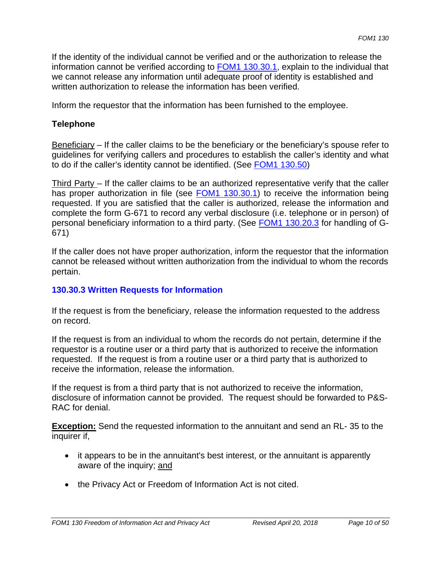If the identity of the individual cannot be verified and or the authorization to release the information cannot be verified according to **FOM1 130.30.1**, explain to the individual that we cannot release any information until adequate proof of identity is established and written authorization to release the information has been verified.

Inform the requestor that the information has been furnished to the employee.

## **Telephone**

 $Beneficiary - If the caller claims to be the benefitiary or the benefitiary's spouse refer to.$ guidelines for verifying callers and procedures to establish the caller's identity and what to do if the caller's identity cannot be identified. (See FOM1 130.50)

Third Party – If the caller claims to be an authorized representative verify that the caller has proper authorization in file (see **FOM1 130.30.1**) to receive the information being requested. If you are satisfied that the caller is authorized, release the information and complete the form G-671 to record any verbal disclosure (i.e. telephone or in person) of personal beneficiary information to a third party. (See FOM1 130.20.3 for handling of G-671)

If the caller does not have proper authorization, inform the requestor that the information cannot be released without written authorization from the individual to whom the records pertain.

## **130.30.3 Written Requests for Information**

If the request is from the beneficiary, release the information requested to the address on record.

If the request is from an individual to whom the records do not pertain, determine if the requestor is a routine user or a third party that is authorized to receive the information requested. If the request is from a routine user or a third party that is authorized to receive the information, release the information.

If the request is from a third party that is not authorized to receive the information, disclosure of information cannot be provided. The request should be forwarded to P&S-RAC for denial.

**Exception:** Send the requested information to the annuitant and send an RL- 35 to the inquirer if,

- it appears to be in the annuitant's best interest, or the annuitant is apparently aware of the inquiry; and
- the Privacy Act or Freedom of Information Act is not cited.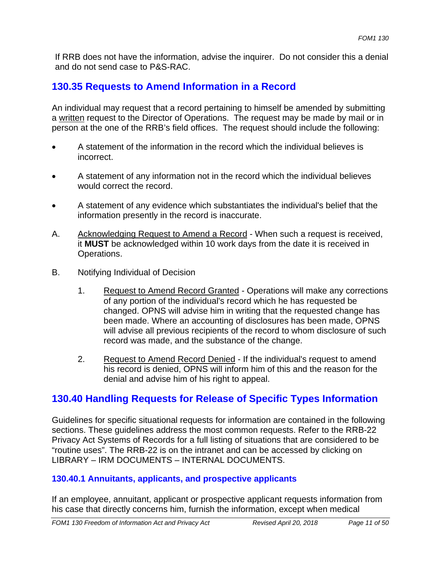If RRB does not have the information, advise the inquirer. Do not consider this a denial and do not send case to P&S-RAC.

# **130.35 Requests to Amend Information in a Record**

An individual may request that a record pertaining to himself be amended by submitting a written request to the Director of Operations. The request may be made by mail or in person at the one of the RRB's field offices. The request should include the following:

- A statement of the information in the record which the individual believes is incorrect.
- A statement of any information not in the record which the individual believes would correct the record.
- A statement of any evidence which substantiates the individual's belief that the information presently in the record is inaccurate.
- A. Acknowledging Request to Amend a Record When such a request is received, it **MUST** be acknowledged within 10 work days from the date it is received in Operations.
- B. Notifying Individual of Decision
	- 1. Request to Amend Record Granted Operations will make any corrections of any portion of the individual's record which he has requested be changed. OPNS will advise him in writing that the requested change has been made. Where an accounting of disclosures has been made, OPNS will advise all previous recipients of the record to whom disclosure of such record was made, and the substance of the change.
	- 2. Request to Amend Record Denied If the individual's request to amend his record is denied, OPNS will inform him of this and the reason for the denial and advise him of his right to appeal.

# **130.40 Handling Requests for Release of Specific Types Information**

Guidelines for specific situational requests for information are contained in the following sections. These guidelines address the most common requests. Refer to the RRB-22 Privacy Act Systems of Records for a full listing of situations that are considered to be "routine uses". The RRB-22 is on the intranet and can be accessed by clicking on LIBRARY – IRM DOCUMENTS – INTERNAL DOCUMENTS.

## **130.40.1 Annuitants, applicants, and prospective applicants**

If an employee, annuitant, applicant or prospective applicant requests information from his case that directly concerns him, furnish the information, except when medical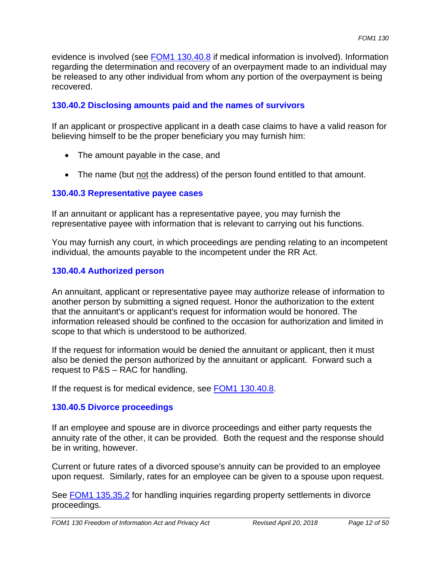evidence is involved (see FOM1 130.40.8 if medical information is involved). Information regarding the determination and recovery of an overpayment made to an individual may be released to any other individual from whom any portion of the overpayment is being recovered.

#### **130.40.2 Disclosing amounts paid and the names of survivors**

If an applicant or prospective applicant in a death case claims to have a valid reason for believing himself to be the proper beneficiary you may furnish him:

- The amount payable in the case, and
- The name (but not the address) of the person found entitled to that amount.

#### **130.40.3 Representative payee cases**

If an annuitant or applicant has a representative payee, you may furnish the representative payee with information that is relevant to carrying out his functions.

You may furnish any court, in which proceedings are pending relating to an incompetent individual, the amounts payable to the incompetent under the RR Act.

#### **130.40.4 Authorized person**

An annuitant, applicant or representative payee may authorize release of information to another person by submitting a signed request. Honor the authorization to the extent that the annuitant's or applicant's request for information would be honored. The information released should be confined to the occasion for authorization and limited in scope to that which is understood to be authorized.

If the request for information would be denied the annuitant or applicant, then it must also be denied the person authorized by the annuitant or applicant. Forward such a request to P&S – RAC for handling.

If the request is for medical evidence, see **FOM1 130.40.8**.

#### **130.40.5 Divorce proceedings**

If an employee and spouse are in divorce proceedings and either party requests the annuity rate of the other, it can be provided. Both the request and the response should be in writing, however.

Current or future rates of a divorced spouse's annuity can be provided to an employee upon request. Similarly, rates for an employee can be given to a spouse upon request.

See FOM1 135.35.2 for handling inquiries regarding property settlements in divorce proceedings.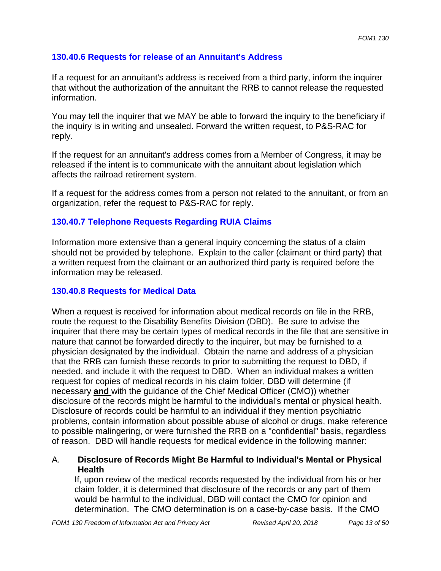## **130.40.6 Requests for release of an Annuitant's Address**

If a request for an annuitant's address is received from a third party, inform the inquirer that without the authorization of the annuitant the RRB to cannot release the requested information.

You may tell the inquirer that we MAY be able to forward the inquiry to the beneficiary if the inquiry is in writing and unsealed. Forward the written request, to P&S-RAC for reply.

If the request for an annuitant's address comes from a Member of Congress, it may be released if the intent is to communicate with the annuitant about legislation which affects the railroad retirement system.

If a request for the address comes from a person not related to the annuitant, or from an organization, refer the request to P&S-RAC for reply.

## **130.40.7 Telephone Requests Regarding RUIA Claims**

Information more extensive than a general inquiry concerning the status of a claim should not be provided by telephone. Explain to the caller (claimant or third party) that a written request from the claimant or an authorized third party is required before the information may be released.

## **130.40.8 Requests for Medical Data**

When a request is received for information about medical records on file in the RRB, route the request to the Disability Benefits Division (DBD). Be sure to advise the inquirer that there may be certain types of medical records in the file that are sensitive in nature that cannot be forwarded directly to the inquirer, but may be furnished to a physician designated by the individual. Obtain the name and address of a physician that the RRB can furnish these records to prior to submitting the request to DBD, if needed, and include it with the request to DBD. When an individual makes a written request for copies of medical records in his claim folder, DBD will determine (if necessary **and** with the guidance of the Chief Medical Officer (CMO)) whether disclosure of the records might be harmful to the individual's mental or physical health. Disclosure of records could be harmful to an individual if they mention psychiatric problems, contain information about possible abuse of alcohol or drugs, make reference to possible malingering, or were furnished the RRB on a "confidential" basis, regardless of reason. DBD will handle requests for medical evidence in the following manner:

## A. **Disclosure of Records Might Be Harmful to Individual's Mental or Physical Health**

If, upon review of the medical records requested by the individual from his or her claim folder, it is determined that disclosure of the records or any part of them would be harmful to the individual, DBD will contact the CMO for opinion and determination. The CMO determination is on a case-by-case basis. If the CMO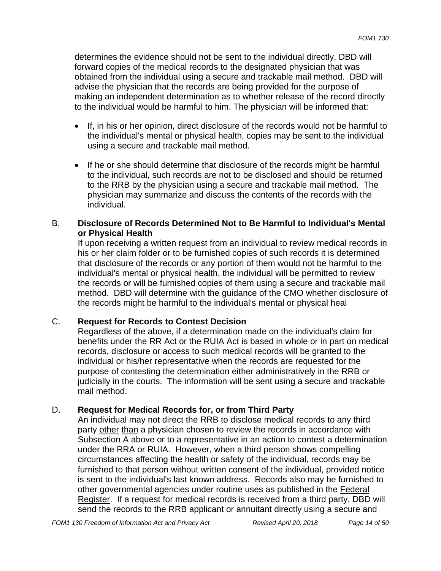determines the evidence should not be sent to the individual directly, DBD will forward copies of the medical records to the designated physician that was obtained from the individual using a secure and trackable mail method. DBD will advise the physician that the records are being provided for the purpose of making an independent determination as to whether release of the record directly to the individual would be harmful to him. The physician will be informed that:

- If, in his or her opinion, direct disclosure of the records would not be harmful to the individual's mental or physical health, copies may be sent to the individual using a secure and trackable mail method.
- If he or she should determine that disclosure of the records might be harmful to the individual, such records are not to be disclosed and should be returned to the RRB by the physician using a secure and trackable mail method. The physician may summarize and discuss the contents of the records with the individual.

## B. **Disclosure of Records Determined Not to Be Harmful to Individual's Mental or Physical Health**

If upon receiving a written request from an individual to review medical records in his or her claim folder or to be furnished copies of such records it is determined that disclosure of the records or any portion of them would not be harmful to the individual's mental or physical health, the individual will be permitted to review the records or will be furnished copies of them using a secure and trackable mail method. DBD will determine with the guidance of the CMO whether disclosure of the records might be harmful to the individual's mental or physical heal

# C. **Request for Records to Contest Decision**

Regardless of the above, if a determination made on the individual's claim for benefits under the RR Act or the RUIA Act is based in whole or in part on medical records, disclosure or access to such medical records will be granted to the individual or his/her representative when the records are requested for the purpose of contesting the determination either administratively in the RRB or judicially in the courts. The information will be sent using a secure and trackable mail method.

# D. **Request for Medical Records for, or from Third Party**

An individual may not direct the RRB to disclose medical records to any third party other than a physician chosen to review the records in accordance with Subsection A above or to a representative in an action to contest a determination under the RRA or RUIA. However, when a third person shows compelling circumstances affecting the health or safety of the individual, records may be furnished to that person without written consent of the individual, provided notice is sent to the individual's last known address. Records also may be furnished to other governmental agencies under routine uses as published in the Federal Register. If a request for medical records is received from a third party, DBD will send the records to the RRB applicant or annuitant directly using a secure and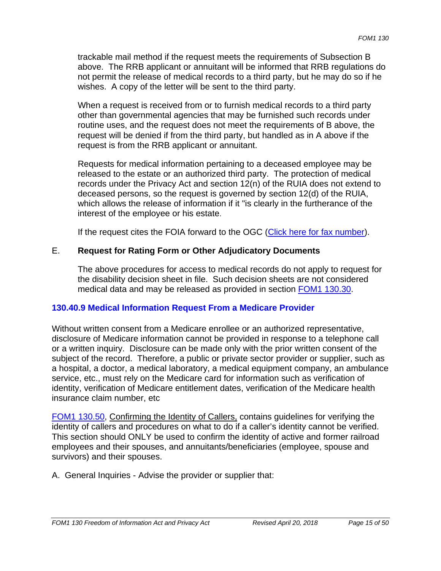trackable mail method if the request meets the requirements of Subsection B above. The RRB applicant or annuitant will be informed that RRB regulations do not permit the release of medical records to a third party, but he may do so if he wishes. A copy of the letter will be sent to the third party.

When a request is received from or to furnish medical records to a third party other than governmental agencies that may be furnished such records under routine uses, and the request does not meet the requirements of B above, the request will be denied if from the third party, but handled as in A above if the request is from the RRB applicant or annuitant.

Requests for medical information pertaining to a deceased employee may be released to the estate or an authorized third party. The protection of medical records under the Privacy Act and section 12(n) of the RUIA does not extend to deceased persons, so the request is governed by section 12(d) of the RUIA, which allows the release of information if it "is clearly in the furtherance of the interest of the employee or his estate.

If the request cites the FOIA forward to the OGC (Click here for fax number).

## E. **Request for Rating Form or Other Adjudicatory Documents**

The above procedures for access to medical records do not apply to request for the disability decision sheet in file. Such decision sheets are not considered medical data and may be released as provided in section FOM1 130.30.

## **130.40.9 Medical Information Request From a Medicare Provider**

Without written consent from a Medicare enrollee or an authorized representative, disclosure of Medicare information cannot be provided in response to a telephone call or a written inquiry. Disclosure can be made only with the prior written consent of the subject of the record. Therefore, a public or private sector provider or supplier, such as a hospital, a doctor, a medical laboratory, a medical equipment company, an ambulance service, etc., must rely on the Medicare card for information such as verification of identity, verification of Medicare entitlement dates, verification of the Medicare health insurance claim number, etc

FOM1 130.50, Confirming the Identity of Callers, contains guidelines for verifying the identity of callers and procedures on what to do if a caller's identity cannot be verified. This section should ONLY be used to confirm the identity of active and former railroad employees and their spouses, and annuitants/beneficiaries (employee, spouse and survivors) and their spouses.

A. General Inquiries - Advise the provider or supplier that: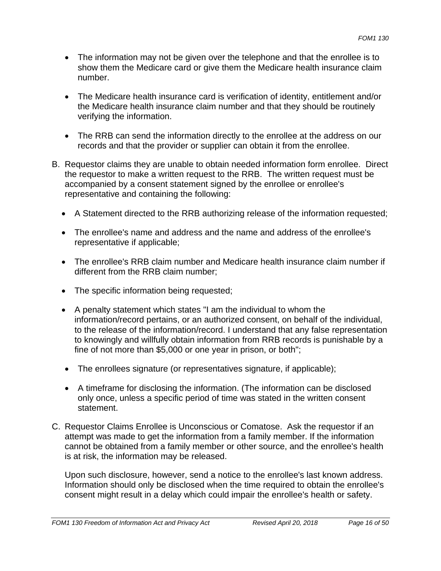- The information may not be given over the telephone and that the enrollee is to show them the Medicare card or give them the Medicare health insurance claim number.
- The Medicare health insurance card is verification of identity, entitlement and/or the Medicare health insurance claim number and that they should be routinely verifying the information.
- The RRB can send the information directly to the enrollee at the address on our records and that the provider or supplier can obtain it from the enrollee.
- B. Requestor claims they are unable to obtain needed information form enrollee. Direct the requestor to make a written request to the RRB. The written request must be accompanied by a consent statement signed by the enrollee or enrollee's representative and containing the following:
	- A Statement directed to the RRB authorizing release of the information requested;
	- The enrollee's name and address and the name and address of the enrollee's representative if applicable;
	- The enrollee's RRB claim number and Medicare health insurance claim number if different from the RRB claim number;
	- The specific information being requested;
	- A penalty statement which states "I am the individual to whom the information/record pertains, or an authorized consent, on behalf of the individual, to the release of the information/record. I understand that any false representation to knowingly and willfully obtain information from RRB records is punishable by a fine of not more than \$5,000 or one year in prison, or both";
	- The enrollees signature (or representatives signature, if applicable);
	- A timeframe for disclosing the information. (The information can be disclosed only once, unless a specific period of time was stated in the written consent statement.
- C. Requestor Claims Enrollee is Unconscious or Comatose. Ask the requestor if an attempt was made to get the information from a family member. If the information cannot be obtained from a family member or other source, and the enrollee's health is at risk, the information may be released.

Upon such disclosure, however, send a notice to the enrollee's last known address. Information should only be disclosed when the time required to obtain the enrollee's consent might result in a delay which could impair the enrollee's health or safety.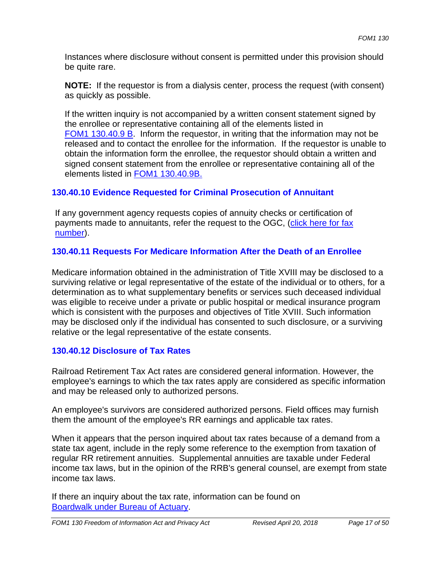Instances where disclosure without consent is permitted under this provision should be quite rare.

**NOTE:** If the requestor is from a dialysis center, process the request (with consent) as quickly as possible.

If the written inquiry is not accompanied by a written consent statement signed by the enrollee or representative containing all of the elements listed in FOM1 130.40.9 B. Inform the requestor, in writing that the information may not be released and to contact the enrollee for the information. If the requestor is unable to obtain the information form the enrollee, the requestor should obtain a written and signed consent statement from the enrollee or representative containing all of the elements listed in FOM1 130.40.9B.

## **130.40.10 Evidence Requested for Criminal Prosecution of Annuitant**

If any government agency requests copies of annuity checks or certification of payments made to annuitants, refer the request to the OGC, (click here for fax number).

## **130.40.11 Requests For Medicare Information After the Death of an Enrollee**

Medicare information obtained in the administration of Title XVIII may be disclosed to a surviving relative or legal representative of the estate of the individual or to others, for a determination as to what supplementary benefits or services such deceased individual was eligible to receive under a private or public hospital or medical insurance program which is consistent with the purposes and objectives of Title XVIII. Such information may be disclosed only if the individual has consented to such disclosure, or a surviving relative or the legal representative of the estate consents.

## **130.40.12 Disclosure of Tax Rates**

Railroad Retirement Tax Act rates are considered general information. However, the employee's earnings to which the tax rates apply are considered as specific information and may be released only to authorized persons.

An employee's survivors are considered authorized persons. Field offices may furnish them the amount of the employee's RR earnings and applicable tax rates.

When it appears that the person inquired about tax rates because of a demand from a state tax agent, include in the reply some reference to the exemption from taxation of regular RR retirement annuities. Supplemental annuities are taxable under Federal income tax laws, but in the opinion of the RRB's general counsel, are exempt from state income tax laws.

If there an inquiry about the tax rate, information can be found on Boardwalk under Bureau of Actuary.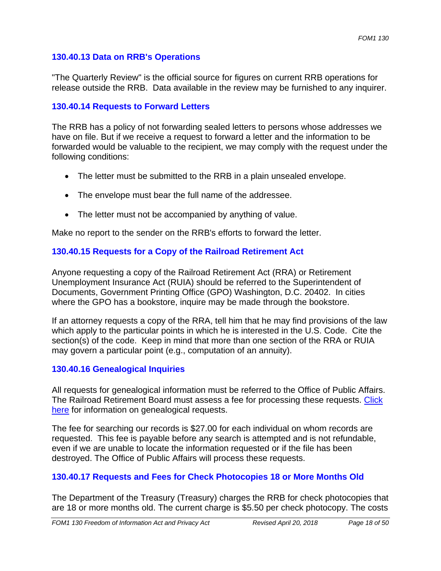### **130.40.13 Data on RRB's Operations**

"The Quarterly Review" is the official source for figures on current RRB operations for release outside the RRB. Data available in the review may be furnished to any inquirer.

#### **130.40.14 Requests to Forward Letters**

The RRB has a policy of not forwarding sealed letters to persons whose addresses we have on file. But if we receive a request to forward a letter and the information to be forwarded would be valuable to the recipient, we may comply with the request under the following conditions:

- The letter must be submitted to the RRB in a plain unsealed envelope.
- The envelope must bear the full name of the addressee.
- The letter must not be accompanied by anything of value.

Make no report to the sender on the RRB's efforts to forward the letter.

## **130.40.15 Requests for a Copy of the Railroad Retirement Act**

Anyone requesting a copy of the Railroad Retirement Act (RRA) or Retirement Unemployment Insurance Act (RUIA) should be referred to the Superintendent of Documents, Government Printing Office (GPO) Washington, D.C. 20402. In cities where the GPO has a bookstore, inquire may be made through the bookstore.

If an attorney requests a copy of the RRA, tell him that he may find provisions of the law which apply to the particular points in which he is interested in the U.S. Code. Cite the section(s) of the code. Keep in mind that more than one section of the RRA or RUIA may govern a particular point (e.g., computation of an annuity).

#### **130.40.16 Genealogical Inquiries**

All requests for genealogical information must be referred to the Office of Public Affairs. The Railroad Retirement Board must assess a fee for processing these requests. Click here for information on genealogical requests.

The fee for searching our records is \$27.00 for each individual on whom records are requested. This fee is payable before any search is attempted and is not refundable, even if we are unable to locate the information requested or if the file has been destroyed. The Office of Public Affairs will process these requests.

## **130.40.17 Requests and Fees for Check Photocopies 18 or More Months Old**

The Department of the Treasury (Treasury) charges the RRB for check photocopies that are 18 or more months old. The current charge is \$5.50 per check photocopy. The costs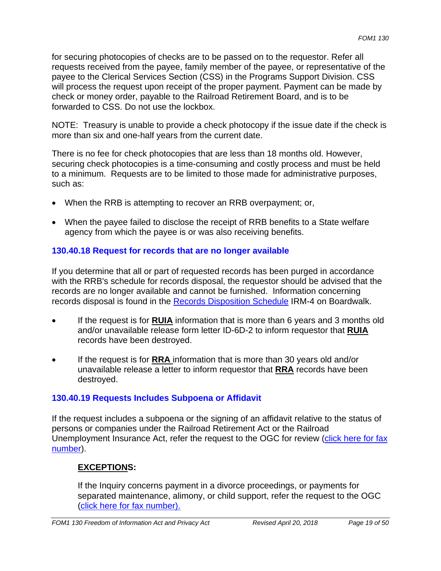for securing photocopies of checks are to be passed on to the requestor. Refer all requests received from the payee, family member of the payee, or representative of the payee to the Clerical Services Section (CSS) in the Programs Support Division. CSS will process the request upon receipt of the proper payment. Payment can be made by check or money order, payable to the Railroad Retirement Board, and is to be forwarded to CSS. Do not use the lockbox.

NOTE: Treasury is unable to provide a check photocopy if the issue date if the check is more than six and one-half years from the current date.

There is no fee for check photocopies that are less than 18 months old. However, securing check photocopies is a time-consuming and costly process and must be held to a minimum. Requests are to be limited to those made for administrative purposes, such as:

- When the RRB is attempting to recover an RRB overpayment; or,
- When the payee failed to disclose the receipt of RRB benefits to a State welfare agency from which the payee is or was also receiving benefits.

## **130.40.18 Request for records that are no longer available**

If you determine that all or part of requested records has been purged in accordance with the RRB's schedule for records disposal, the requestor should be advised that the records are no longer available and cannot be furnished. Information concerning records disposal is found in the Records Disposition Schedule IRM-4 on Boardwalk.

- If the request is for **RUIA** information that is more than 6 years and 3 months old and/or unavailable release form letter ID-6D-2 to inform requestor that **RUIA**  records have been destroyed.
- If the request is for **RRA** information that is more than 30 years old and/or unavailable release a letter to inform requestor that **RRA** records have been destroyed.

## **130.40.19 Requests Includes Subpoena or Affidavit**

If the request includes a subpoena or the signing of an affidavit relative to the status of persons or companies under the Railroad Retirement Act or the Railroad Unemployment Insurance Act, refer the request to the OGC for review (click here for fax number).

# **EXCEPTIONS:**

If the Inquiry concerns payment in a divorce proceedings, or payments for separated maintenance, alimony, or child support, refer the request to the OGC (click here for fax number).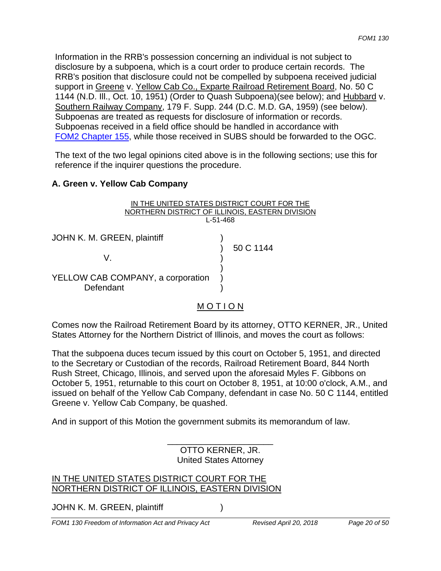Information in the RRB's possession concerning an individual is not subject to disclosure by a subpoena, which is a court order to produce certain records. The RRB's position that disclosure could not be compelled by subpoena received judicial support in Greene v. Yellow Cab Co., Exparte Railroad Retirement Board, No. 50 C 1144 (N.D. Ill., Oct. 10, 1951) (Order to Quash Subpoena)(see below); and Hubbard v. Southern Railway Company, 179 F. Supp. 244 (D.C. M.D. GA, 1959) (see below). Subpoenas are treated as requests for disclosure of information or records. Subpoenas received in a field office should be handled in accordance with FOM2 Chapter 155, while those received in SUBS should be forwarded to the OGC.

The text of the two legal opinions cited above is in the following sections; use this for reference if the inquirer questions the procedure.

#### **A. Green v. Yellow Cab Company**

| IN THE UNITED STATES DISTRICT COURT FOR THE     |           |
|-------------------------------------------------|-----------|
| NORTHERN DISTRICT OF ILLINOIS, EASTERN DIVISION |           |
| $L - 51 - 468$                                  |           |
| JOHN K. M. GREEN, plaintiff<br>V                | 50 C 1144 |
| YELLOW CAB COMPANY, a corporation<br>Defendant  |           |

#### M O T I O N

Comes now the Railroad Retirement Board by its attorney, OTTO KERNER, JR., United States Attorney for the Northern District of Illinois, and moves the court as follows:

That the subpoena duces tecum issued by this court on October 5, 1951, and directed to the Secretary or Custodian of the records, Railroad Retirement Board, 844 North Rush Street, Chicago, Illinois, and served upon the aforesaid Myles F. Gibbons on October 5, 1951, returnable to this court on October 8, 1951, at 10:00 o'clock, A.M., and issued on behalf of the Yellow Cab Company, defendant in case No. 50 C 1144, entitled Greene v. Yellow Cab Company, be quashed.

And in support of this Motion the government submits its memorandum of law.

OTTO KERNER, JR. United States Attorney

\_\_\_\_\_\_\_\_\_\_\_\_\_\_\_\_\_\_\_\_\_\_

#### IN THE UNITED STATES DISTRICT COURT FOR THE NORTHERN DISTRICT OF ILLINOIS, EASTERN DIVISION

JOHN K. M. GREEN, plaintiff (1998)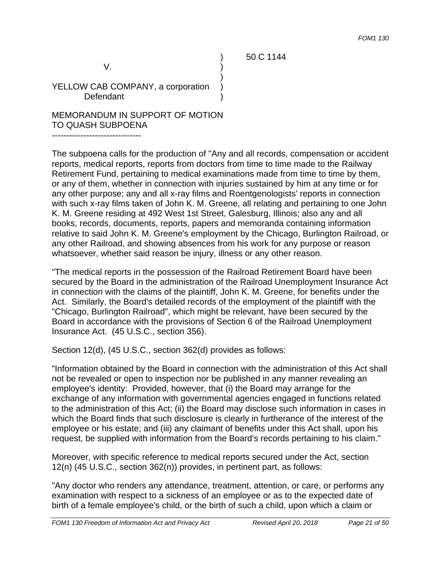) 50 C 1144

 $V.$  )

YELLOW CAB COMPANY, a corporation Defendant

MEMORANDUM IN SUPPORT OF MOTION TO QUASH SUBPOENA

------------------------------- The subpoena calls for the production of "Any and all records, compensation or accident reports, medical reports, reports from doctors from time to time made to the Railway Retirement Fund, pertaining to medical examinations made from time to time by them, or any of them, whether in connection with injuries sustained by him at any time or for any other purpose; any and all x-ray films and Roentgenologists' reports in connection with such x-ray films taken of John K. M. Greene, all relating and pertaining to one John K. M. Greene residing at 492 West 1st Street, Galesburg, Illinois; also any and all books, records, documents, reports, papers and memoranda containing information relative to said John K. M. Greene's employment by the Chicago, Burlington Railroad, or any other Railroad, and showing absences from his work for any purpose or reason whatsoever, whether said reason be injury, illness or any other reason.

)

"The medical reports in the possession of the Railroad Retirement Board have been secured by the Board in the administration of the Railroad Unemployment Insurance Act in connection with the claims of the plaintiff, John K. M. Greene, for benefits under the Act. Similarly, the Board's detailed records of the employment of the plaintiff with the "Chicago, Burlington Railroad", which might be relevant, have been secured by the Board in accordance with the provisions of Section 6 of the Railroad Unemployment Insurance Act. (45 U.S.C., section 356).

Section 12(d), (45 U.S.C., section 362(d) provides as follows:

"Information obtained by the Board in connection with the administration of this Act shall not be revealed or open to inspection nor be published in any manner revealing an employee's identity: Provided, however, that (i) the Board may arrange for the exchange of any information with governmental agencies engaged in functions related to the administration of this Act; (ii) the Board may disclose such information in cases in which the Board finds that such disclosure is clearly in furtherance of the interest of the employee or his estate; and (iii) any claimant of benefits under this Act shall, upon his request, be supplied with information from the Board's records pertaining to his claim."

Moreover, with specific reference to medical reports secured under the Act, section 12(n) (45 U.S.C., section 362(n)) provides, in pertinent part, as follows:

"Any doctor who renders any attendance, treatment, attention, or care, or performs any examination with respect to a sickness of an employee or as to the expected date of birth of a female employee's child, or the birth of such a child, upon which a claim or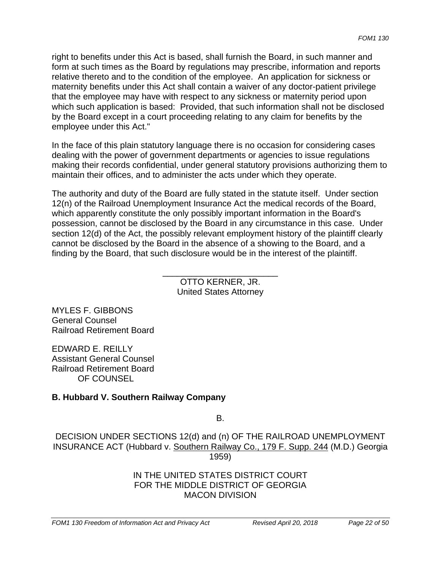right to benefits under this Act is based, shall furnish the Board, in such manner and form at such times as the Board by regulations may prescribe, information and reports relative thereto and to the condition of the employee. An application for sickness or maternity benefits under this Act shall contain a waiver of any doctor-patient privilege that the employee may have with respect to any sickness or maternity period upon which such application is based: Provided, that such information shall not be disclosed by the Board except in a court proceeding relating to any claim for benefits by the employee under this Act."

In the face of this plain statutory language there is no occasion for considering cases dealing with the power of government departments or agencies to issue regulations making their records confidential, under general statutory provisions authorizing them to maintain their offices, and to administer the acts under which they operate.

The authority and duty of the Board are fully stated in the statute itself. Under section 12(n) of the Railroad Unemployment Insurance Act the medical records of the Board, which apparently constitute the only possibly important information in the Board's possession, cannot be disclosed by the Board in any circumstance in this case. Under section 12(d) of the Act, the possibly relevant employment history of the plaintiff clearly cannot be disclosed by the Board in the absence of a showing to the Board, and a finding by the Board, that such disclosure would be in the interest of the plaintiff.

> OTTO KERNER, JR. United States Attorney

\_\_\_\_\_\_\_\_\_\_\_\_\_\_\_\_\_\_\_\_\_\_\_\_

MYLES F. GIBBONS General Counsel Railroad Retirement Board

EDWARD E. REILLY Assistant General Counsel Railroad Retirement Board OF COUNSEL

## **B. Hubbard V. Southern Railway Company**

B.

DECISION UNDER SECTIONS 12(d) and (n) OF THE RAILROAD UNEMPLOYMENT INSURANCE ACT (Hubbard v. Southern Railway Co., 179 F. Supp. 244 (M.D.) Georgia 1959)

#### IN THE UNITED STATES DISTRICT COURT FOR THE MIDDLE DISTRICT OF GEORGIA MACON DIVISION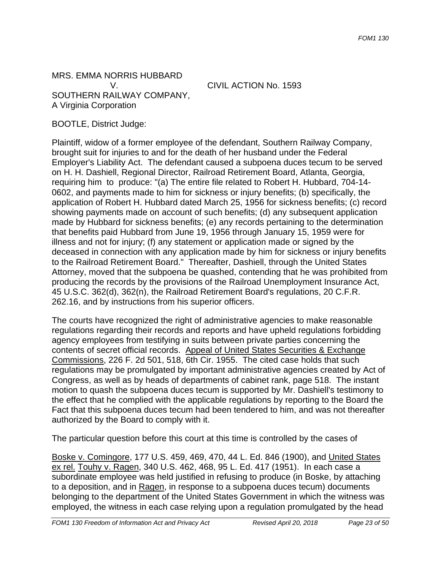MRS. EMMA NORRIS HUBBARD SOUTHERN RAILWAY COMPANY, A Virginia Corporation

V. CIVIL ACTION No. 1593

BOOTLE, District Judge:

Plaintiff, widow of a former employee of the defendant, Southern Railway Company, brought suit for injuries to and for the death of her husband under the Federal Employer's Liability Act. The defendant caused a subpoena duces tecum to be served on H. H. Dashiell, Regional Director, Railroad Retirement Board, Atlanta, Georgia, requiring him to produce: "(a) The entire file related to Robert H. Hubbard, 704-14- 0602, and payments made to him for sickness or injury benefits; (b) specifically, the application of Robert H. Hubbard dated March 25, 1956 for sickness benefits; (c) record showing payments made on account of such benefits; (d) any subsequent application made by Hubbard for sickness benefits; (e) any records pertaining to the determination that benefits paid Hubbard from June 19, 1956 through January 15, 1959 were for illness and not for injury; (f) any statement or application made or signed by the deceased in connection with any application made by him for sickness or injury benefits to the Railroad Retirement Board." Thereafter, Dashiell, through the United States Attorney, moved that the subpoena be quashed, contending that he was prohibited from producing the records by the provisions of the Railroad Unemployment Insurance Act, 45 U.S.C. 362(d), 362(n), the Railroad Retirement Board's regulations, 20 C.F.R. 262.16, and by instructions from his superior officers.

The courts have recognized the right of administrative agencies to make reasonable regulations regarding their records and reports and have upheld regulations forbidding agency employees from testifying in suits between private parties concerning the contents of secret official records. Appeal of United States Securities & Exchange Commissions, 226 F. 2d 501, 518, 6th Cir. 1955. The cited case holds that such regulations may be promulgated by important administrative agencies created by Act of Congress, as well as by heads of departments of cabinet rank, page 518. The instant motion to quash the subpoena duces tecum is supported by Mr. Dashiell's testimony to the effect that he complied with the applicable regulations by reporting to the Board the Fact that this subpoena duces tecum had been tendered to him, and was not thereafter authorized by the Board to comply with it.

The particular question before this court at this time is controlled by the cases of

Boske v. Comingore, 177 U.S. 459, 469, 470, 44 L. Ed. 846 (1900), and United States ex rel. Touhy v. Ragen, 340 U.S. 462, 468, 95 L. Ed. 417 (1951). In each case a subordinate employee was held justified in refusing to produce (in Boske, by attaching to a deposition, and in Ragen, in response to a subpoena duces tecum) documents belonging to the department of the United States Government in which the witness was employed, the witness in each case relying upon a regulation promulgated by the head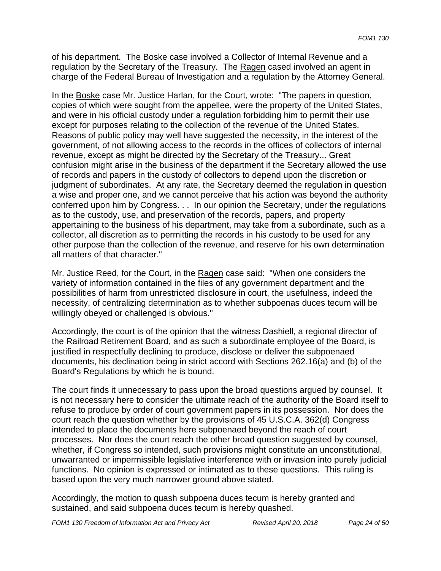of his department. The Boske case involved a Collector of Internal Revenue and a regulation by the Secretary of the Treasury. The Ragen cased involved an agent in charge of the Federal Bureau of Investigation and a regulation by the Attorney General.

In the Boske case Mr. Justice Harlan, for the Court, wrote: "The papers in question, copies of which were sought from the appellee, were the property of the United States, and were in his official custody under a regulation forbidding him to permit their use except for purposes relating to the collection of the revenue of the United States. Reasons of public policy may well have suggested the necessity, in the interest of the government, of not allowing access to the records in the offices of collectors of internal revenue, except as might be directed by the Secretary of the Treasury... Great confusion might arise in the business of the department if the Secretary allowed the use of records and papers in the custody of collectors to depend upon the discretion or judgment of subordinates. At any rate, the Secretary deemed the regulation in question a wise and proper one, and we cannot perceive that his action was beyond the authority conferred upon him by Congress. . . In our opinion the Secretary, under the regulations as to the custody, use, and preservation of the records, papers, and property appertaining to the business of his department, may take from a subordinate, such as a collector, all discretion as to permitting the records in his custody to be used for any other purpose than the collection of the revenue, and reserve for his own determination all matters of that character."

Mr. Justice Reed, for the Court, in the Ragen case said: "When one considers the variety of information contained in the files of any government department and the possibilities of harm from unrestricted disclosure in court, the usefulness, indeed the necessity, of centralizing determination as to whether subpoenas duces tecum will be willingly obeyed or challenged is obvious."

Accordingly, the court is of the opinion that the witness Dashiell, a regional director of the Railroad Retirement Board, and as such a subordinate employee of the Board, is justified in respectfully declining to produce, disclose or deliver the subpoenaed documents, his declination being in strict accord with Sections 262.16(a) and (b) of the Board's Regulations by which he is bound.

The court finds it unnecessary to pass upon the broad questions argued by counsel. It is not necessary here to consider the ultimate reach of the authority of the Board itself to refuse to produce by order of court government papers in its possession. Nor does the court reach the question whether by the provisions of 45 U.S.C.A. 362(d) Congress intended to place the documents here subpoenaed beyond the reach of court processes. Nor does the court reach the other broad question suggested by counsel, whether, if Congress so intended, such provisions might constitute an unconstitutional, unwarranted or impermissible legislative interference with or invasion into purely judicial functions. No opinion is expressed or intimated as to these questions. This ruling is based upon the very much narrower ground above stated.

Accordingly, the motion to quash subpoena duces tecum is hereby granted and sustained, and said subpoena duces tecum is hereby quashed.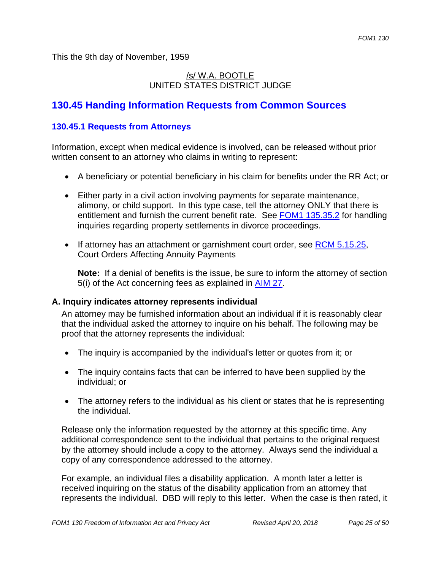This the 9th day of November, 1959

## /s/ W.A. BOOTLE UNITED STATES DISTRICT JUDGE

# **130.45 Handing Information Requests from Common Sources**

## **130.45.1 Requests from Attorneys**

Information, except when medical evidence is involved, can be released without prior written consent to an attorney who claims in writing to represent:

- A beneficiary or potential beneficiary in his claim for benefits under the RR Act; or
- Either party in a civil action involving payments for separate maintenance, alimony, or child support. In this type case, tell the attorney ONLY that there is entitlement and furnish the current benefit rate. See FOM1 135.35.2 for handling inquiries regarding property settlements in divorce proceedings.
- If attorney has an attachment or garnishment court order, see  $RCM$  5.15.25, Court Orders Affecting Annuity Payments

**Note:** If a denial of benefits is the issue, be sure to inform the attorney of section 5(i) of the Act concerning fees as explained in AIM 27.

#### **A. Inquiry indicates attorney represents individual**

An attorney may be furnished information about an individual if it is reasonably clear that the individual asked the attorney to inquire on his behalf. The following may be proof that the attorney represents the individual:

- The inquiry is accompanied by the individual's letter or quotes from it; or
- The inquiry contains facts that can be inferred to have been supplied by the individual; or
- The attorney refers to the individual as his client or states that he is representing the individual.

Release only the information requested by the attorney at this specific time. Any additional correspondence sent to the individual that pertains to the original request by the attorney should include a copy to the attorney. Always send the individual a copy of any correspondence addressed to the attorney.

For example, an individual files a disability application. A month later a letter is received inquiring on the status of the disability application from an attorney that represents the individual. DBD will reply to this letter. When the case is then rated, it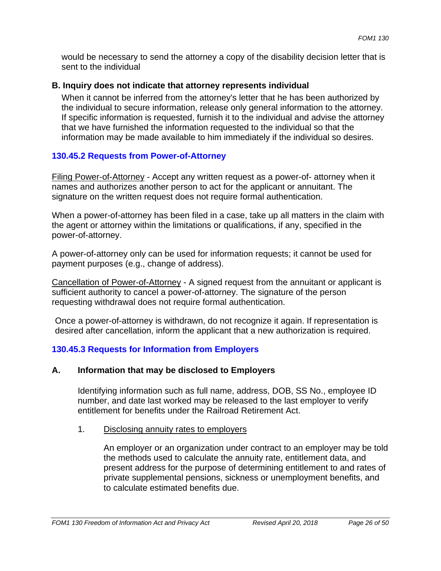would be necessary to send the attorney a copy of the disability decision letter that is sent to the individual

#### **B. Inquiry does not indicate that attorney represents individual**

When it cannot be inferred from the attorney's letter that he has been authorized by the individual to secure information, release only general information to the attorney. If specific information is requested, furnish it to the individual and advise the attorney that we have furnished the information requested to the individual so that the information may be made available to him immediately if the individual so desires.

#### **130.45.2 Requests from Power-of-Attorney**

Filing Power-of-Attorney - Accept any written request as a power-of- attorney when it names and authorizes another person to act for the applicant or annuitant. The signature on the written request does not require formal authentication.

When a power-of-attorney has been filed in a case, take up all matters in the claim with the agent or attorney within the limitations or qualifications, if any, specified in the power-of-attorney.

A power-of-attorney only can be used for information requests; it cannot be used for payment purposes (e.g., change of address).

Cancellation of Power-of-Attorney - A signed request from the annuitant or applicant is sufficient authority to cancel a power-of-attorney. The signature of the person requesting withdrawal does not require formal authentication.

Once a power-of-attorney is withdrawn, do not recognize it again. If representation is desired after cancellation, inform the applicant that a new authorization is required.

## **130.45.3 Requests for Information from Employers**

#### **A. Information that may be disclosed to Employers**

Identifying information such as full name, address, DOB, SS No., employee ID number, and date last worked may be released to the last employer to verify entitlement for benefits under the Railroad Retirement Act.

#### 1. Disclosing annuity rates to employers

An employer or an organization under contract to an employer may be told the methods used to calculate the annuity rate, entitlement data, and present address for the purpose of determining entitlement to and rates of private supplemental pensions, sickness or unemployment benefits, and to calculate estimated benefits due.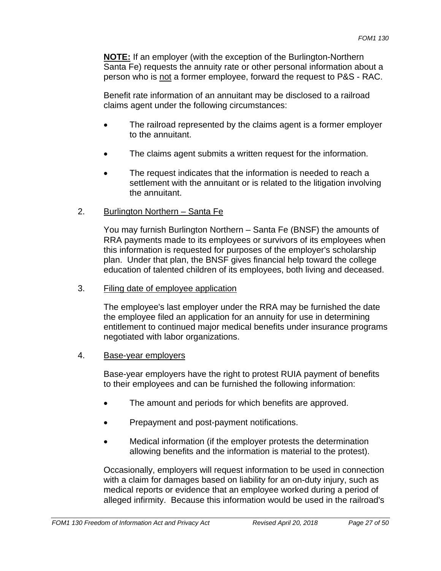**NOTE:** If an employer (with the exception of the Burlington-Northern Santa Fe) requests the annuity rate or other personal information about a person who is not a former employee, forward the request to P&S - RAC.

Benefit rate information of an annuitant may be disclosed to a railroad claims agent under the following circumstances:

- The railroad represented by the claims agent is a former employer to the annuitant.
- The claims agent submits a written request for the information.
- The request indicates that the information is needed to reach a settlement with the annuitant or is related to the litigation involving the annuitant.
- 2. Burlington Northern Santa Fe

You may furnish Burlington Northern – Santa Fe (BNSF) the amounts of RRA payments made to its employees or survivors of its employees when this information is requested for purposes of the employer's scholarship plan. Under that plan, the BNSF gives financial help toward the college education of talented children of its employees, both living and deceased.

3. Filing date of employee application

The employee's last employer under the RRA may be furnished the date the employee filed an application for an annuity for use in determining entitlement to continued major medical benefits under insurance programs negotiated with labor organizations.

#### 4. Base-year employers

Base-year employers have the right to protest RUIA payment of benefits to their employees and can be furnished the following information:

- The amount and periods for which benefits are approved.
- Prepayment and post-payment notifications.
- Medical information (if the employer protests the determination allowing benefits and the information is material to the protest).

Occasionally, employers will request information to be used in connection with a claim for damages based on liability for an on-duty injury, such as medical reports or evidence that an employee worked during a period of alleged infirmity. Because this information would be used in the railroad's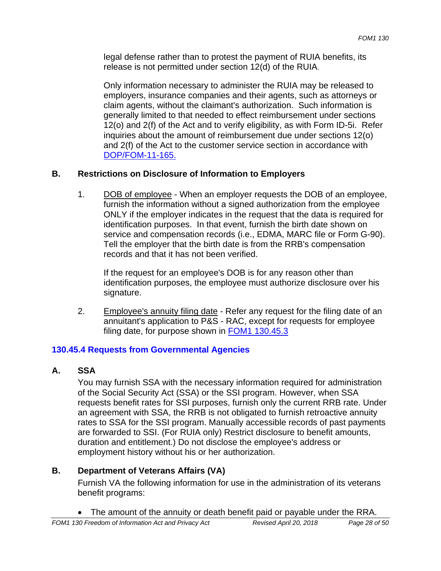legal defense rather than to protest the payment of RUIA benefits, its release is not permitted under section 12(d) of the RUIA.

Only information necessary to administer the RUIA may be released to employers, insurance companies and their agents, such as attorneys or claim agents, without the claimant's authorization. Such information is generally limited to that needed to effect reimbursement under sections 12(o) and 2(f) of the Act and to verify eligibility, as with Form ID-5i. Refer inquiries about the amount of reimbursement due under sections 12(o) and 2(f) of the Act to the customer service section in accordance with DOP/FOM-11-165.

## **B. Restrictions on Disclosure of Information to Employers**

1. DOB of employee - When an employer requests the DOB of an employee, furnish the information without a signed authorization from the employee ONLY if the employer indicates in the request that the data is required for identification purposes. In that event, furnish the birth date shown on service and compensation records (i.e., EDMA, MARC file or Form G-90). Tell the employer that the birth date is from the RRB's compensation records and that it has not been verified.

If the request for an employee's DOB is for any reason other than identification purposes, the employee must authorize disclosure over his signature.

2. Employee's annuity filing date - Refer any request for the filing date of an annuitant's application to P&S - RAC, except for requests for employee filing date, for purpose shown in FOM1 130.45.3

#### **130.45.4 Requests from Governmental Agencies**

#### **A. SSA**

You may furnish SSA with the necessary information required for administration of the Social Security Act (SSA) or the SSI program. However, when SSA requests benefit rates for SSI purposes, furnish only the current RRB rate. Under an agreement with SSA, the RRB is not obligated to furnish retroactive annuity rates to SSA for the SSI program. Manually accessible records of past payments are forwarded to SSI. (For RUIA only) Restrict disclosure to benefit amounts, duration and entitlement.) Do not disclose the employee's address or employment history without his or her authorization.

## **B. Department of Veterans Affairs (VA)**

Furnish VA the following information for use in the administration of its veterans benefit programs:

The amount of the annuity or death benefit paid or payable under the RRA.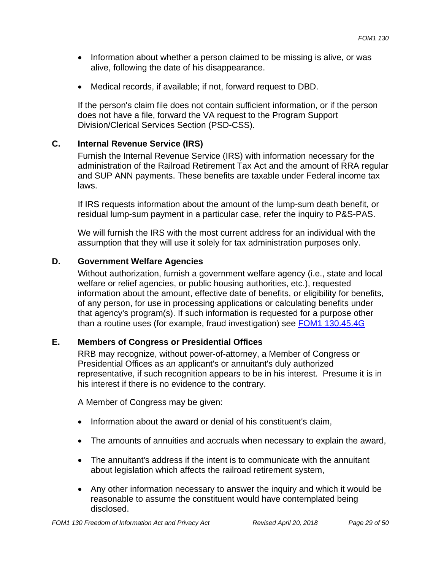- Information about whether a person claimed to be missing is alive, or was alive, following the date of his disappearance.
- Medical records, if available; if not, forward request to DBD.

If the person's claim file does not contain sufficient information, or if the person does not have a file, forward the VA request to the Program Support Division/Clerical Services Section (PSD-CSS).

## **C. Internal Revenue Service (IRS)**

Furnish the Internal Revenue Service (IRS) with information necessary for the administration of the Railroad Retirement Tax Act and the amount of RRA regular and SUP ANN payments. These benefits are taxable under Federal income tax laws.

If IRS requests information about the amount of the lump-sum death benefit, or residual lump-sum payment in a particular case, refer the inquiry to P&S-PAS.

We will furnish the IRS with the most current address for an individual with the assumption that they will use it solely for tax administration purposes only.

## **D. Government Welfare Agencies**

Without authorization, furnish a government welfare agency (i.e., state and local welfare or relief agencies, or public housing authorities, etc.), requested information about the amount, effective date of benefits, or eligibility for benefits, of any person, for use in processing applications or calculating benefits under that agency's program(s). If such information is requested for a purpose other than a routine uses (for example, fraud investigation) see FOM1 130.45.4G

## **E. Members of Congress or Presidential Offices**

RRB may recognize, without power-of-attorney, a Member of Congress or Presidential Offices as an applicant's or annuitant's duly authorized representative, if such recognition appears to be in his interest. Presume it is in his interest if there is no evidence to the contrary.

A Member of Congress may be given:

- Information about the award or denial of his constituent's claim,
- The amounts of annuities and accruals when necessary to explain the award,
- The annuitant's address if the intent is to communicate with the annuitant about legislation which affects the railroad retirement system,
- Any other information necessary to answer the inquiry and which it would be reasonable to assume the constituent would have contemplated being disclosed.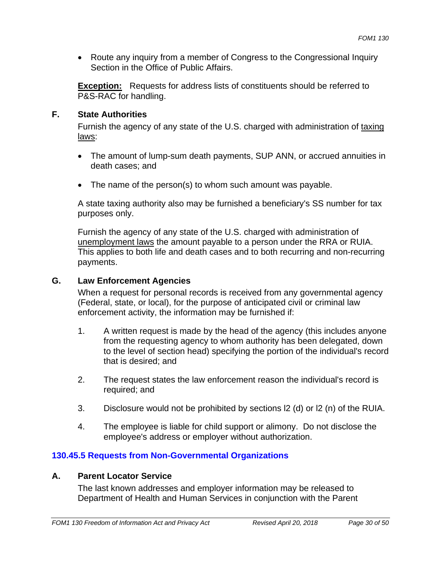• Route any inquiry from a member of Congress to the Congressional Inquiry Section in the Office of Public Affairs.

**Exception:** Requests for address lists of constituents should be referred to P&S-RAC for handling.

## **F. State Authorities**

Furnish the agency of any state of the U.S. charged with administration of taxing laws:

- The amount of lump-sum death payments, SUP ANN, or accrued annuities in death cases; and
- The name of the person(s) to whom such amount was payable.

A state taxing authority also may be furnished a beneficiary's SS number for tax purposes only.

Furnish the agency of any state of the U.S. charged with administration of unemployment laws the amount payable to a person under the RRA or RUIA. This applies to both life and death cases and to both recurring and non-recurring payments.

## **G. Law Enforcement Agencies**

When a request for personal records is received from any governmental agency (Federal, state, or local), for the purpose of anticipated civil or criminal law enforcement activity, the information may be furnished if:

- 1. A written request is made by the head of the agency (this includes anyone from the requesting agency to whom authority has been delegated, down to the level of section head) specifying the portion of the individual's record that is desired; and
- 2. The request states the law enforcement reason the individual's record is required; and
- 3. Disclosure would not be prohibited by sections l2 (d) or l2 (n) of the RUIA.
- 4. The employee is liable for child support or alimony. Do not disclose the employee's address or employer without authorization.

# **130.45.5 Requests from Non-Governmental Organizations**

## **A. Parent Locator Service**

The last known addresses and employer information may be released to Department of Health and Human Services in conjunction with the Parent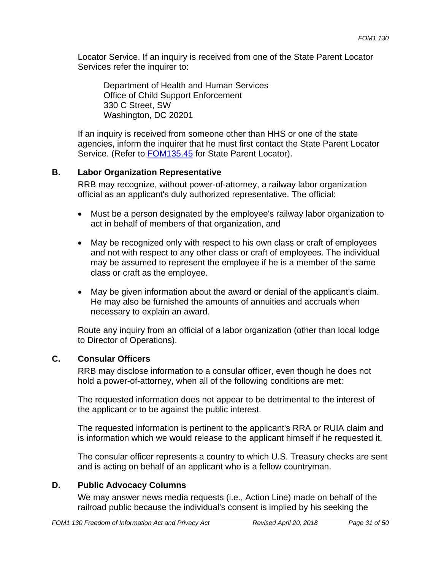Locator Service. If an inquiry is received from one of the State Parent Locator Services refer the inquirer to:

Department of Health and Human Services Office of Child Support Enforcement 330 C Street, SW Washington, DC 20201

If an inquiry is received from someone other than HHS or one of the state agencies, inform the inquirer that he must first contact the State Parent Locator Service. (Refer to FOM135.45 for State Parent Locator).

## **B. Labor Organization Representative**

RRB may recognize, without power-of-attorney, a railway labor organization official as an applicant's duly authorized representative. The official:

- Must be a person designated by the employee's railway labor organization to act in behalf of members of that organization, and
- May be recognized only with respect to his own class or craft of employees and not with respect to any other class or craft of employees. The individual may be assumed to represent the employee if he is a member of the same class or craft as the employee.
- May be given information about the award or denial of the applicant's claim. He may also be furnished the amounts of annuities and accruals when necessary to explain an award.

Route any inquiry from an official of a labor organization (other than local lodge to Director of Operations).

## **C. Consular Officers**

RRB may disclose information to a consular officer, even though he does not hold a power-of-attorney, when all of the following conditions are met:

The requested information does not appear to be detrimental to the interest of the applicant or to be against the public interest.

The requested information is pertinent to the applicant's RRA or RUIA claim and is information which we would release to the applicant himself if he requested it.

The consular officer represents a country to which U.S. Treasury checks are sent and is acting on behalf of an applicant who is a fellow countryman.

## **D. Public Advocacy Columns**

We may answer news media requests (i.e., Action Line) made on behalf of the railroad public because the individual's consent is implied by his seeking the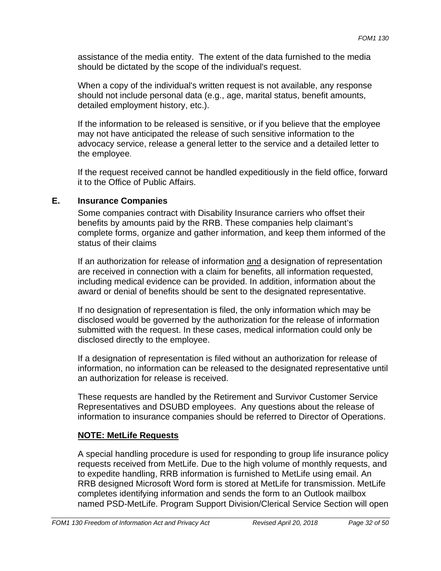assistance of the media entity. The extent of the data furnished to the media should be dictated by the scope of the individual's request.

When a copy of the individual's written request is not available, any response should not include personal data (e.g., age, marital status, benefit amounts, detailed employment history, etc.).

If the information to be released is sensitive, or if you believe that the employee may not have anticipated the release of such sensitive information to the advocacy service, release a general letter to the service and a detailed letter to the employee.

If the request received cannot be handled expeditiously in the field office, forward it to the Office of Public Affairs.

#### **E. Insurance Companies**

Some companies contract with Disability Insurance carriers who offset their benefits by amounts paid by the RRB. These companies help claimant's complete forms, organize and gather information, and keep them informed of the status of their claims

If an authorization for release of information and a designation of representation are received in connection with a claim for benefits, all information requested, including medical evidence can be provided. In addition, information about the award or denial of benefits should be sent to the designated representative.

If no designation of representation is filed, the only information which may be disclosed would be governed by the authorization for the release of information submitted with the request. In these cases, medical information could only be disclosed directly to the employee.

If a designation of representation is filed without an authorization for release of information, no information can be released to the designated representative until an authorization for release is received.

These requests are handled by the Retirement and Survivor Customer Service Representatives and DSUBD employees. Any questions about the release of information to insurance companies should be referred to Director of Operations.

## **NOTE: MetLife Requests**

A special handling procedure is used for responding to group life insurance policy requests received from MetLife. Due to the high volume of monthly requests, and to expedite handling, RRB information is furnished to MetLife using email. An RRB designed Microsoft Word form is stored at MetLife for transmission. MetLife completes identifying information and sends the form to an Outlook mailbox named PSD-MetLife. Program Support Division/Clerical Service Section will open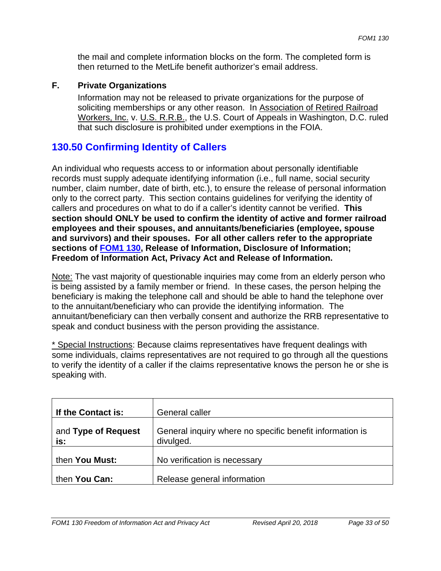the mail and complete information blocks on the form. The completed form is then returned to the MetLife benefit authorizer's email address.

#### **F. Private Organizations**

Information may not be released to private organizations for the purpose of soliciting memberships or any other reason. In Association of Retired Railroad Workers, Inc. v. U.S. R.R.B., the U.S. Court of Appeals in Washington, D.C. ruled that such disclosure is prohibited under exemptions in the FOIA.

# **130.50 Confirming Identity of Callers**

 **Freedom of Information Act, Privacy Act and Release of Information.** An individual who requests access to or information about personally identifiable records must supply adequate identifying information (i.e., full name, social security number, claim number, date of birth, etc.), to ensure the release of personal information only to the correct party. This section contains guidelines for verifying the identity of callers and procedures on what to do if a caller's identity cannot be verified. **This section should ONLY be used to confirm the identity of active and former railroad employees and their spouses, and annuitants/beneficiaries (employee, spouse and survivors) and their spouses. For all other callers refer to the appropriate sections of FOM1 130, Release of Information, Disclosure of Information;** 

Note: The vast majority of questionable inquiries may come from an elderly person who is being assisted by a family member or friend. In these cases, the person helping the beneficiary is making the telephone call and should be able to hand the telephone over to the annuitant/beneficiary who can provide the identifying information. The annuitant/beneficiary can then verbally consent and authorize the RRB representative to speak and conduct business with the person providing the assistance.

\* Special Instructions: Because claims representatives have frequent dealings with some individuals, claims representatives are not required to go through all the questions to verify the identity of a caller if the claims representative knows the person he or she is speaking with.

| If the Contact is:         | <b>General caller</b>                                                 |
|----------------------------|-----------------------------------------------------------------------|
| and Type of Request<br>is: | General inquiry where no specific benefit information is<br>divulged. |
| then You Must:             | No verification is necessary                                          |
| then You Can:              | Release general information                                           |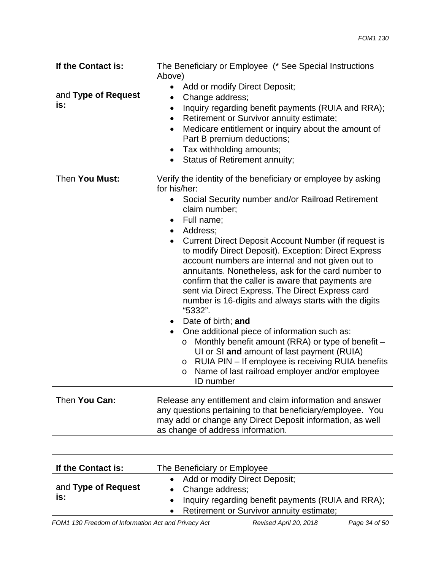| If the Contact is:         | The Beneficiary or Employee (* See Special Instructions<br>Above)                                                                                                                                                                                                                                                                                                                                                                                                                                                                                                                                                                                                                                                                                                                                                                                                                                                                                                       |
|----------------------------|-------------------------------------------------------------------------------------------------------------------------------------------------------------------------------------------------------------------------------------------------------------------------------------------------------------------------------------------------------------------------------------------------------------------------------------------------------------------------------------------------------------------------------------------------------------------------------------------------------------------------------------------------------------------------------------------------------------------------------------------------------------------------------------------------------------------------------------------------------------------------------------------------------------------------------------------------------------------------|
| and Type of Request<br>is: | Add or modify Direct Deposit;<br>$\bullet$<br>Change address;<br>Inquiry regarding benefit payments (RUIA and RRA);<br>$\bullet$<br>Retirement or Survivor annuity estimate;<br>$\bullet$<br>Medicare entitlement or inquiry about the amount of<br>٠<br>Part B premium deductions;<br>Tax withholding amounts;<br>$\bullet$<br>Status of Retirement annuity;<br>٠                                                                                                                                                                                                                                                                                                                                                                                                                                                                                                                                                                                                      |
| Then You Must:             | Verify the identity of the beneficiary or employee by asking<br>for his/her:<br>Social Security number and/or Railroad Retirement<br>$\bullet$<br>claim number;<br>Full name;<br>٠<br>Address:<br>$\bullet$<br>Current Direct Deposit Account Number (if request is<br>to modify Direct Deposit). Exception: Direct Express<br>account numbers are internal and not given out to<br>annuitants. Nonetheless, ask for the card number to<br>confirm that the caller is aware that payments are<br>sent via Direct Express. The Direct Express card<br>number is 16-digits and always starts with the digits<br>"5332".<br>Date of birth; and<br>$\bullet$<br>One additional piece of information such as:<br>$\bullet$<br>Monthly benefit amount (RRA) or type of benefit -<br>$\circ$<br>UI or SI and amount of last payment (RUIA)<br>RUIA PIN - If employee is receiving RUIA benefits<br>O<br>Name of last railroad employer and/or employee<br>$\circ$<br>ID number |
| Then You Can:              | Release any entitlement and claim information and answer<br>any questions pertaining to that beneficiary/employee. You<br>may add or change any Direct Deposit information, as well<br>as change of address information.                                                                                                                                                                                                                                                                                                                                                                                                                                                                                                                                                                                                                                                                                                                                                |

| If the Contact is:         | The Beneficiary or Employee                                                                                                                            |
|----------------------------|--------------------------------------------------------------------------------------------------------------------------------------------------------|
| and Type of Request<br>is: | • Add or modify Direct Deposit;<br>• Change address;<br>Inquiry regarding benefit payments (RUIA and RRA);<br>Retirement or Survivor annuity estimate; |

*FOM1 130 Freedom of Information Act and Privacy Act* **Revised April 20, 2018** *Page 34 of 50*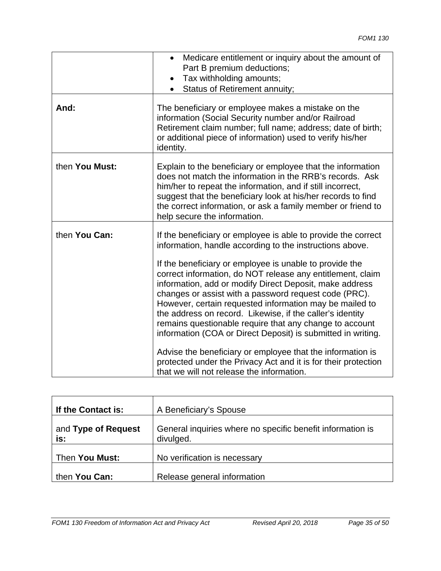|                | Medicare entitlement or inquiry about the amount of<br>$\bullet$<br>Part B premium deductions;<br>Tax withholding amounts;<br>$\bullet$<br><b>Status of Retirement annuity;</b><br>$\bullet$                                                                                                                                                                                                                                                                                                                                                                                                                                                                                                                                                                                                           |
|----------------|--------------------------------------------------------------------------------------------------------------------------------------------------------------------------------------------------------------------------------------------------------------------------------------------------------------------------------------------------------------------------------------------------------------------------------------------------------------------------------------------------------------------------------------------------------------------------------------------------------------------------------------------------------------------------------------------------------------------------------------------------------------------------------------------------------|
| And:           | The beneficiary or employee makes a mistake on the<br>information (Social Security number and/or Railroad<br>Retirement claim number; full name; address; date of birth;<br>or additional piece of information) used to verify his/her<br>identity.                                                                                                                                                                                                                                                                                                                                                                                                                                                                                                                                                    |
| then You Must: | Explain to the beneficiary or employee that the information<br>does not match the information in the RRB's records. Ask<br>him/her to repeat the information, and if still incorrect,<br>suggest that the beneficiary look at his/her records to find<br>the correct information, or ask a family member or friend to<br>help secure the information.                                                                                                                                                                                                                                                                                                                                                                                                                                                  |
| then You Can:  | If the beneficiary or employee is able to provide the correct<br>information, handle according to the instructions above.<br>If the beneficiary or employee is unable to provide the<br>correct information, do NOT release any entitlement, claim<br>information, add or modify Direct Deposit, make address<br>changes or assist with a password request code (PRC).<br>However, certain requested information may be mailed to<br>the address on record. Likewise, if the caller's identity<br>remains questionable require that any change to account<br>information (COA or Direct Deposit) is submitted in writing.<br>Advise the beneficiary or employee that the information is<br>protected under the Privacy Act and it is for their protection<br>that we will not release the information. |

| If the Contact is:         | A Beneficiary's Spouse                                                  |
|----------------------------|-------------------------------------------------------------------------|
| and Type of Request<br>is: | General inquiries where no specific benefit information is<br>divulged. |
| Then You Must:             | No verification is necessary                                            |
| then You Can:              | Release general information                                             |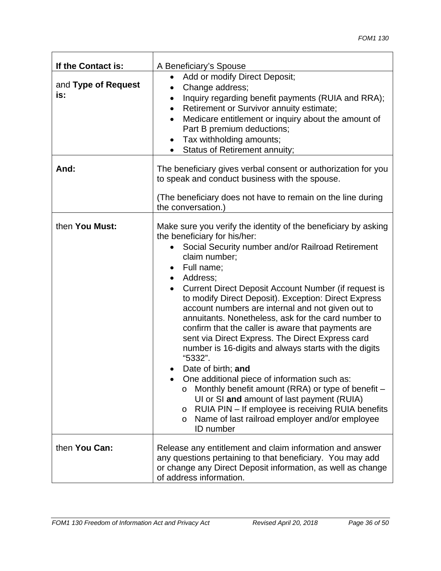| If the Contact is:         | A Beneficiary's Spouse                                                                                                                                                                                                                                                                                                                                                                                                                                                                                                                                                                                                                                                                                                                                                                                                                                                                                                                                      |
|----------------------------|-------------------------------------------------------------------------------------------------------------------------------------------------------------------------------------------------------------------------------------------------------------------------------------------------------------------------------------------------------------------------------------------------------------------------------------------------------------------------------------------------------------------------------------------------------------------------------------------------------------------------------------------------------------------------------------------------------------------------------------------------------------------------------------------------------------------------------------------------------------------------------------------------------------------------------------------------------------|
| and Type of Request<br>is: | Add or modify Direct Deposit;<br>Change address;<br>$\bullet$<br>Inquiry regarding benefit payments (RUIA and RRA);<br>$\bullet$<br>Retirement or Survivor annuity estimate;<br>$\bullet$<br>Medicare entitlement or inquiry about the amount of<br>Part B premium deductions;<br>Tax withholding amounts;<br>$\bullet$<br>Status of Retirement annuity;                                                                                                                                                                                                                                                                                                                                                                                                                                                                                                                                                                                                    |
| And:                       | The beneficiary gives verbal consent or authorization for you<br>to speak and conduct business with the spouse.<br>(The beneficiary does not have to remain on the line during<br>the conversation.)                                                                                                                                                                                                                                                                                                                                                                                                                                                                                                                                                                                                                                                                                                                                                        |
| then You Must:             | Make sure you verify the identity of the beneficiary by asking<br>the beneficiary for his/her:<br>Social Security number and/or Railroad Retirement<br>claim number;<br>Full name;<br>$\bullet$<br>Address;<br>$\bullet$<br>Current Direct Deposit Account Number (if request is<br>$\bullet$<br>to modify Direct Deposit). Exception: Direct Express<br>account numbers are internal and not given out to<br>annuitants. Nonetheless, ask for the card number to<br>confirm that the caller is aware that payments are<br>sent via Direct Express. The Direct Express card<br>number is 16-digits and always starts with the digits<br>"5332".<br>Date of birth; and<br>One additional piece of information such as:<br>Monthly benefit amount (RRA) or type of benefit -<br>O<br>UI or SI and amount of last payment (RUIA)<br>RUIA PIN - If employee is receiving RUIA benefits<br>O<br>Name of last railroad employer and/or employee<br>O<br>ID number |
| then You Can:              | Release any entitlement and claim information and answer<br>any questions pertaining to that beneficiary. You may add<br>or change any Direct Deposit information, as well as change<br>of address information.                                                                                                                                                                                                                                                                                                                                                                                                                                                                                                                                                                                                                                                                                                                                             |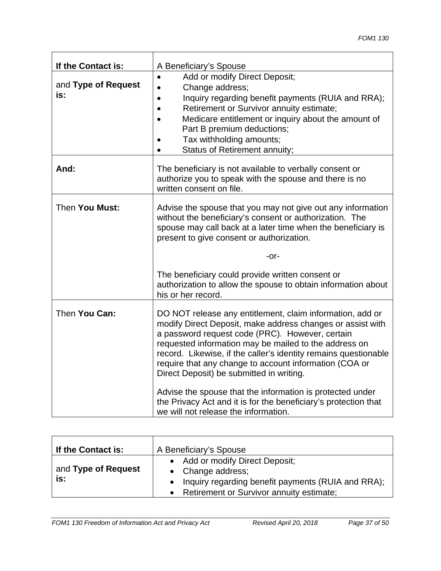| If the Contact is:         | A Beneficiary's Spouse                                                                                                                                                                                                                                                                                                                                                                                       |
|----------------------------|--------------------------------------------------------------------------------------------------------------------------------------------------------------------------------------------------------------------------------------------------------------------------------------------------------------------------------------------------------------------------------------------------------------|
| and Type of Request<br>is: | Add or modify Direct Deposit;<br>$\bullet$<br>Change address;<br>Inquiry regarding benefit payments (RUIA and RRA);<br>Retirement or Survivor annuity estimate;<br>Medicare entitlement or inquiry about the amount of<br>Part B premium deductions;<br>Tax withholding amounts;<br>Status of Retirement annuity;                                                                                            |
| And:                       | The beneficiary is not available to verbally consent or<br>authorize you to speak with the spouse and there is no<br>written consent on file.                                                                                                                                                                                                                                                                |
| Then You Must:             | Advise the spouse that you may not give out any information<br>without the beneficiary's consent or authorization. The<br>spouse may call back at a later time when the beneficiary is<br>present to give consent or authorization.                                                                                                                                                                          |
|                            | -or-                                                                                                                                                                                                                                                                                                                                                                                                         |
|                            | The beneficiary could provide written consent or<br>authorization to allow the spouse to obtain information about<br>his or her record.                                                                                                                                                                                                                                                                      |
| Then You Can:              | DO NOT release any entitlement, claim information, add or<br>modify Direct Deposit, make address changes or assist with<br>a password request code (PRC). However, certain<br>requested information may be mailed to the address on<br>record. Likewise, if the caller's identity remains questionable<br>require that any change to account information (COA or<br>Direct Deposit) be submitted in writing. |
|                            | Advise the spouse that the information is protected under<br>the Privacy Act and it is for the beneficiary's protection that<br>we will not release the information.                                                                                                                                                                                                                                         |

| If the Contact is:         | A Beneficiary's Spouse                                                                                                                                        |
|----------------------------|---------------------------------------------------------------------------------------------------------------------------------------------------------------|
| and Type of Request<br>is: | • Add or modify Direct Deposit;<br>• Change address;<br>Inquiry regarding benefit payments (RUIA and RRA);<br><b>Retirement or Survivor annuity estimate;</b> |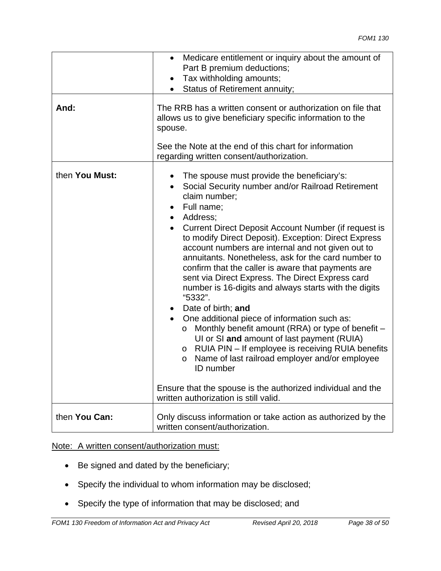|                | Medicare entitlement or inquiry about the amount of<br>$\bullet$<br>Part B premium deductions;<br>Tax withholding amounts;<br>$\bullet$<br>Status of Retirement annuity;                                                                                                                                                                                                                                                                                                                                                                                                                                                                                                                                                                                                                                                                                                                                                                                                                                                   |
|----------------|----------------------------------------------------------------------------------------------------------------------------------------------------------------------------------------------------------------------------------------------------------------------------------------------------------------------------------------------------------------------------------------------------------------------------------------------------------------------------------------------------------------------------------------------------------------------------------------------------------------------------------------------------------------------------------------------------------------------------------------------------------------------------------------------------------------------------------------------------------------------------------------------------------------------------------------------------------------------------------------------------------------------------|
| And:           | The RRB has a written consent or authorization on file that<br>allows us to give beneficiary specific information to the<br>spouse.                                                                                                                                                                                                                                                                                                                                                                                                                                                                                                                                                                                                                                                                                                                                                                                                                                                                                        |
|                | See the Note at the end of this chart for information<br>regarding written consent/authorization.                                                                                                                                                                                                                                                                                                                                                                                                                                                                                                                                                                                                                                                                                                                                                                                                                                                                                                                          |
| then You Must: | The spouse must provide the beneficiary's:<br>٠<br>Social Security number and/or Railroad Retirement<br>$\bullet$<br>claim number:<br>Full name;<br>Address:<br>Current Direct Deposit Account Number (if request is<br>to modify Direct Deposit). Exception: Direct Express<br>account numbers are internal and not given out to<br>annuitants. Nonetheless, ask for the card number to<br>confirm that the caller is aware that payments are<br>sent via Direct Express. The Direct Express card<br>number is 16-digits and always starts with the digits<br>"5332".<br>Date of birth; and<br>One additional piece of information such as:<br>$\bullet$<br>Monthly benefit amount (RRA) or type of benefit -<br>$\circ$<br>UI or SI and amount of last payment (RUIA)<br>RUIA PIN - If employee is receiving RUIA benefits<br>$\circ$<br>Name of last railroad employer and/or employee<br>O<br><b>ID</b> number<br>Ensure that the spouse is the authorized individual and the<br>written authorization is still valid. |
| then You Can:  | Only discuss information or take action as authorized by the<br>written consent/authorization.                                                                                                                                                                                                                                                                                                                                                                                                                                                                                                                                                                                                                                                                                                                                                                                                                                                                                                                             |

#### Note: A written consent/authorization must:

- Be signed and dated by the beneficiary;
- Specify the individual to whom information may be disclosed;
- Specify the type of information that may be disclosed; and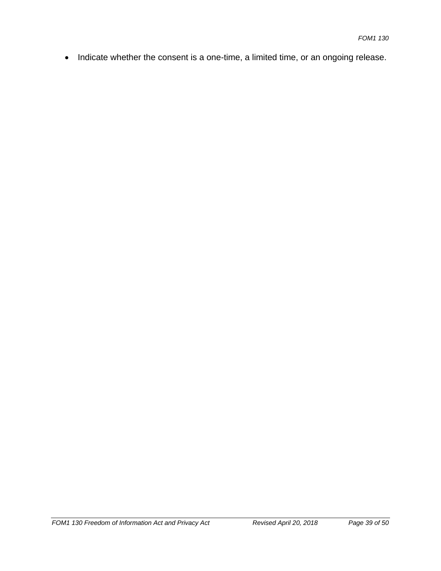• Indicate whether the consent is a one-time, a limited time, or an ongoing release.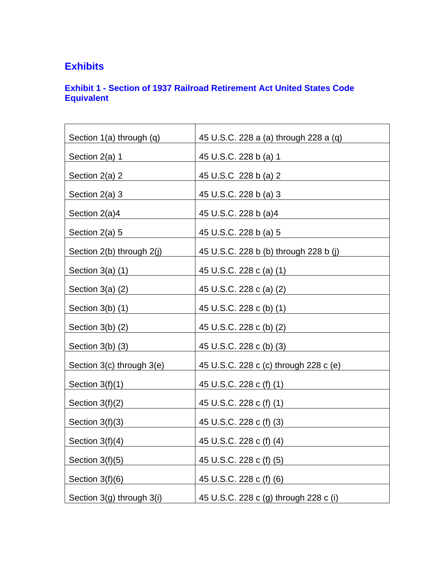# **Exhibits**

## **Exhibit 1 - Section of 1937 Railroad Retirement Act United States Code Equivalent**

| Section 1(a) through (q)  | 45 U.S.C. 228 a (a) through 228 a (q) |
|---------------------------|---------------------------------------|
| Section 2(a) 1            | 45 U.S.C. 228 b (a) 1                 |
| Section 2(a) 2            | 45 U.S.C 228 b (a) 2                  |
| Section $2(a)$ 3          | 45 U.S.C. 228 b (a) 3                 |
| Section 2(a)4             | 45 U.S.C. 228 b (a)4                  |
| Section 2(a) 5            | 45 U.S.C. 228 b (a) 5                 |
| Section 2(b) through 2(j) | 45 U.S.C. 228 b (b) through 228 b (j) |
| Section 3(a) (1)          | 45 U.S.C. 228 c (a) (1)               |
| Section $3(a)$ $(2)$      | 45 U.S.C. 228 c (a) (2)               |
| Section 3(b) (1)          | 45 U.S.C. 228 c (b) (1)               |
| Section 3(b) (2)          | 45 U.S.C. 228 c (b) (2)               |
| Section 3(b) (3)          | 45 U.S.C. 228 c (b) (3)               |
| Section 3(c) through 3(e) | 45 U.S.C. 228 c (c) through 228 c (e) |
| Section $3(f)(1)$         | 45 U.S.C. 228 c (f) (1)               |
| Section 3(f)(2)           | 45 U.S.C. 228 c (f) (1)               |
| Section $3(f)(3)$         | 45 U.S.C. 228 c (f) (3)               |
| Section $3(f)(4)$         | 45 U.S.C. 228 c (f) (4)               |
| Section $3(f)(5)$         | 45 U.S.C. 228 c (f) (5)               |
|                           |                                       |
| Section $3(f)(6)$         | 45 U.S.C. 228 c (f) (6)               |
| Section 3(g) through 3(i) | 45 U.S.C. 228 c (g) through 228 c (i) |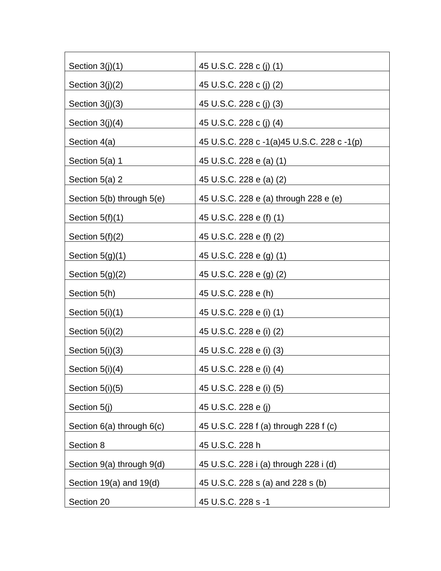| Section $3(j)(1)$         | 45 U.S.C. 228 c (j) (1)                       |
|---------------------------|-----------------------------------------------|
| Section 3(j)(2)           | 45 U.S.C. 228 c (j) (2)                       |
| Section $3(j)(3)$         | 45 U.S.C. 228 c (j) (3)                       |
| Section 3(j)(4)           | 45 U.S.C. 228 c (j) (4)                       |
| Section 4(a)              | 45 U.S.C. 228 c - 1(a) 45 U.S.C. 228 c - 1(p) |
| Section 5(a) 1            | 45 U.S.C. 228 e (a) (1)                       |
| Section 5(a) 2            | 45 U.S.C. 228 e (a) (2)                       |
| Section 5(b) through 5(e) | 45 U.S.C. 228 e (a) through 228 e (e)         |
| Section $5(f)(1)$         | 45 U.S.C. 228 e (f) (1)                       |
| Section 5(f)(2)           | 45 U.S.C. 228 e (f) (2)                       |
| Section $5(g)(1)$         | 45 U.S.C. 228 e (g) (1)                       |
| Section $5(g)(2)$         | 45 U.S.C. 228 e (g) (2)                       |
| Section 5(h)              | 45 U.S.C. 228 e (h)                           |
| Section $5(i)(1)$         | 45 U.S.C. 228 e (i) (1)                       |
| Section $5(i)(2)$         | 45 U.S.C. 228 e (i) (2)                       |
| Section $5(i)(3)$         | 45 U.S.C. 228 e (i) (3)                       |
| Section $5(i)(4)$         | 45 U.S.C. 228 e (i) (4)                       |
| Section 5(i)(5)           | 45 U.S.C. 228 e (i) (5)                       |
| Section 5(j)              | 45 U.S.C. 228 e (j)                           |
| Section 6(a) through 6(c) | 45 U.S.C. 228 f (a) through 228 f (c)         |
| Section 8                 | 45 U.S.C. 228 h                               |
| Section 9(a) through 9(d) | 45 U.S.C. 228 i (a) through 228 i (d)         |
| Section 19(a) and 19(d)   | 45 U.S.C. 228 s (a) and 228 s (b)             |
| Section 20                | 45 U.S.C. 228 s -1                            |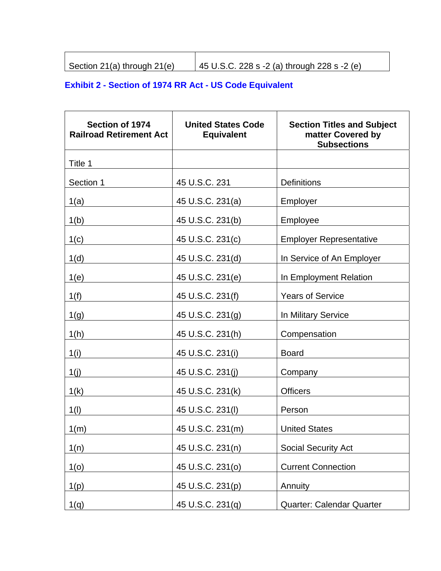| Section 21(a) through $21(e)$ | 45 U.S.C. 228 s -2 (a) through 228 s -2 (e) |
|-------------------------------|---------------------------------------------|

# **Exhibit 2 - Section of 1974 RR Act - US Code Equivalent**

| Section of 1974<br><b>Railroad Retirement Act</b> | <b>United States Code</b><br><b>Equivalent</b> | <b>Section Titles and Subject</b><br>matter Covered by<br><b>Subsections</b> |
|---------------------------------------------------|------------------------------------------------|------------------------------------------------------------------------------|
| Title 1                                           |                                                |                                                                              |
| Section 1                                         | 45 U.S.C. 231                                  | <b>Definitions</b>                                                           |
| 1(a)                                              | 45 U.S.C. 231(a)                               | Employer                                                                     |
| 1(b)                                              | 45 U.S.C. 231(b)                               | Employee                                                                     |
| 1(c)                                              | 45 U.S.C. 231(c)                               | <b>Employer Representative</b>                                               |
| 1(d)                                              | 45 U.S.C. 231(d)                               | In Service of An Employer                                                    |
| 1(e)                                              | 45 U.S.C. 231(e)                               | In Employment Relation                                                       |
| 1(f)                                              | 45 U.S.C. 231(f)                               | <b>Years of Service</b>                                                      |
| 1(g)                                              | 45 U.S.C. 231(g)                               | In Military Service                                                          |
| 1(h)                                              | 45 U.S.C. 231(h)                               | Compensation                                                                 |
| 1(i)                                              | 45 U.S.C. 231(i)                               | <b>Board</b>                                                                 |
| 1(j)                                              | 45 U.S.C. 231(j)                               | Company                                                                      |
| 1(k)                                              | 45 U.S.C. 231(k)                               | <b>Officers</b>                                                              |
| 1(1)                                              | 45 U.S.C. 231(I)                               | Person                                                                       |
| 1(m)                                              | 45 U.S.C. 231(m)                               | <b>United States</b>                                                         |
| 1(n)                                              | 45 U.S.C. 231(n)                               | <b>Social Security Act</b>                                                   |
| 1 <sub>(0)</sub>                                  | 45 U.S.C. 231(0)                               | <b>Current Connection</b>                                                    |
| 1(p)                                              | 45 U.S.C. 231(p)                               | Annuity                                                                      |
| 1(q)                                              | 45 U.S.C. 231(q)                               | <b>Quarter: Calendar Quarter</b>                                             |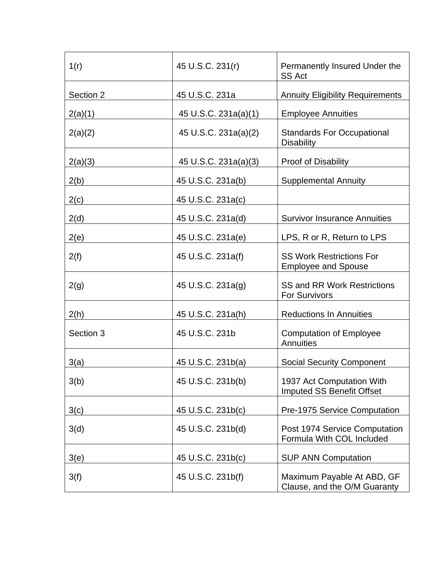| 1(r)      | 45 U.S.C. 231(r)     | Permanently Insured Under the<br><b>SS Act</b>                |
|-----------|----------------------|---------------------------------------------------------------|
| Section 2 | 45 U.S.C. 231a       | <b>Annuity Eligibility Requirements</b>                       |
| 2(a)(1)   | 45 U.S.C. 231a(a)(1) | <b>Employee Annuities</b>                                     |
| 2(a)(2)   | 45 U.S.C. 231a(a)(2) | <b>Standards For Occupational</b><br><b>Disability</b>        |
| 2(a)(3)   | 45 U.S.C. 231a(a)(3) | <b>Proof of Disability</b>                                    |
| 2(b)      | 45 U.S.C. 231a(b)    | <b>Supplemental Annuity</b>                                   |
| 2(c)      | 45 U.S.C. 231a(c)    |                                                               |
| 2(d)      | 45 U.S.C. 231a(d)    | <b>Survivor Insurance Annuities</b>                           |
| 2(e)      | 45 U.S.C. 231a(e)    | LPS, R or R, Return to LPS                                    |
| 2(f)      | 45 U.S.C. 231a(f)    | <b>SS Work Restrictions For</b><br><b>Employee and Spouse</b> |
| 2(g)      | 45 U.S.C. 231a(g)    | <b>SS and RR Work Restrictions</b><br><b>For Survivors</b>    |
| 2(h)      | 45 U.S.C. 231a(h)    | <b>Reductions In Annuities</b>                                |
| Section 3 | 45 U.S.C. 231b       | <b>Computation of Employee</b><br><b>Annuities</b>            |
| 3(a)      | 45 U.S.C. 231b(a)    | <b>Social Security Component</b>                              |
| 3(b)      | 45 U.S.C. 231b(b)    | 1937 Act Computation With<br><b>Imputed SS Benefit Offset</b> |
| 3(c)      | 45 U.S.C. 231b(c)    | Pre-1975 Service Computation                                  |
| 3(d)      | 45 U.S.C. 231b(d)    | Post 1974 Service Computation<br>Formula With COL Included    |
| 3(e)      | 45 U.S.C. 231b(c)    | <b>SUP ANN Computation</b>                                    |
| 3(f)      | 45 U.S.C. 231b(f)    | Maximum Payable At ABD, GF<br>Clause, and the O/M Guaranty    |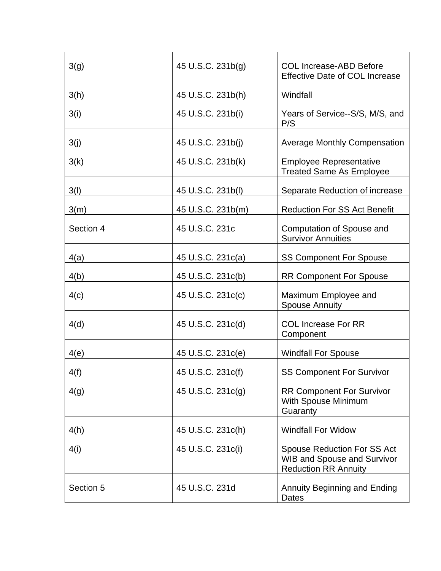| 3(g)      | 45 U.S.C. 231b(g) | <b>COL Increase-ABD Before</b><br><b>Effective Date of COL Increase</b>                                 |
|-----------|-------------------|---------------------------------------------------------------------------------------------------------|
| 3(h)      | 45 U.S.C. 231b(h) | Windfall                                                                                                |
| 3(i)      | 45 U.S.C. 231b(i) | Years of Service--S/S, M/S, and<br>P/S                                                                  |
| 3(j)      | 45 U.S.C. 231b(j) | <b>Average Monthly Compensation</b>                                                                     |
| 3(k)      | 45 U.S.C. 231b(k) | <b>Employee Representative</b><br><b>Treated Same As Employee</b>                                       |
| 3(l)      | 45 U.S.C. 231b(l) | Separate Reduction of increase                                                                          |
| 3(m)      | 45 U.S.C. 231b(m) | <b>Reduction For SS Act Benefit</b>                                                                     |
| Section 4 | 45 U.S.C. 231c    | Computation of Spouse and<br><b>Survivor Annuities</b>                                                  |
| 4(a)      | 45 U.S.C. 231c(a) | <b>SS Component For Spouse</b>                                                                          |
| 4(b)      | 45 U.S.C. 231c(b) | <b>RR Component For Spouse</b>                                                                          |
| 4(c)      | 45 U.S.C. 231c(c) | Maximum Employee and<br><b>Spouse Annuity</b>                                                           |
| 4(d)      | 45 U.S.C. 231c(d) | <b>COL Increase For RR</b><br>Component                                                                 |
| 4(e)      | 45 U.S.C. 231c(e) | <b>Windfall For Spouse</b>                                                                              |
| 4(f)      | 45 U.S.C. 231c(f) | <b>SS Component For Survivor</b>                                                                        |
| 4(g)      | 45 U.S.C. 231c(g) | <b>RR Component For Survivor</b><br>With Spouse Minimum<br>Guaranty                                     |
| 4(h)      | 45 U.S.C. 231c(h) | <b>Windfall For Widow</b>                                                                               |
| 4(i)      | 45 U.S.C. 231c(i) | <b>Spouse Reduction For SS Act</b><br><b>WIB and Spouse and Survivor</b><br><b>Reduction RR Annuity</b> |
| Section 5 | 45 U.S.C. 231d    | <b>Annuity Beginning and Ending</b><br><b>Dates</b>                                                     |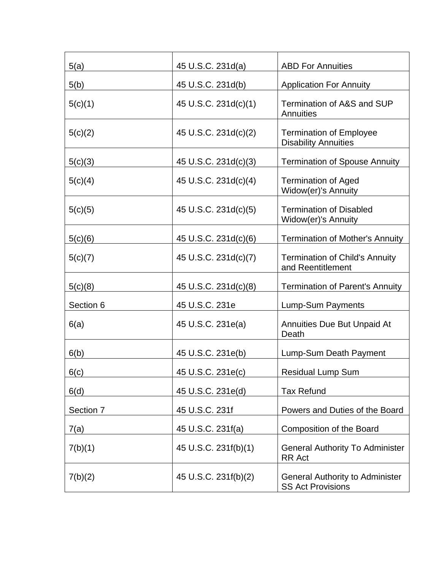| 5(a)      | 45 U.S.C. 231d(a)    | <b>ABD For Annuities</b>                                           |
|-----------|----------------------|--------------------------------------------------------------------|
| 5(b)      | 45 U.S.C. 231d(b)    | <b>Application For Annuity</b>                                     |
| 5(c)(1)   | 45 U.S.C. 231d(c)(1) | Termination of A&S and SUP<br>Annuities                            |
| 5(c)(2)   | 45 U.S.C. 231d(c)(2) | <b>Termination of Employee</b><br><b>Disability Annuities</b>      |
| 5(c)(3)   | 45 U.S.C. 231d(c)(3) | <b>Termination of Spouse Annuity</b>                               |
| 5(c)(4)   | 45 U.S.C. 231d(c)(4) | <b>Termination of Aged</b><br>Widow(er)'s Annuity                  |
| 5(c)(5)   | 45 U.S.C. 231d(c)(5) | <b>Termination of Disabled</b><br>Widow(er)'s Annuity              |
| 5(c)(6)   | 45 U.S.C. 231d(c)(6) | <b>Termination of Mother's Annuity</b>                             |
| 5(c)(7)   | 45 U.S.C. 231d(c)(7) | <b>Termination of Child's Annuity</b><br>and Reentitlement         |
| 5(c)(8)   | 45 U.S.C. 231d(c)(8) | <b>Termination of Parent's Annuity</b>                             |
| Section 6 | 45 U.S.C. 231e       | Lump-Sum Payments                                                  |
| 6(a)      | 45 U.S.C. 231e(a)    | <b>Annuities Due But Unpaid At</b><br>Death                        |
| 6(b)      | 45 U.S.C. 231e(b)    | Lump-Sum Death Payment                                             |
| 6(c)      | 45 U.S.C. 231e(c)    | <b>Residual Lump Sum</b>                                           |
| 6(d)      | 45 U.S.C. 231e(d)    | <b>Tax Refund</b>                                                  |
| Section 7 | 45 U.S.C. 231f       | Powers and Duties of the Board                                     |
| 7(a)      | 45 U.S.C. 231f(a)    | Composition of the Board                                           |
| 7(b)(1)   | 45 U.S.C. 231f(b)(1) | <b>General Authority To Administer</b><br><b>RR Act</b>            |
| 7(b)(2)   | 45 U.S.C. 231f(b)(2) | <b>General Authority to Administer</b><br><b>SS Act Provisions</b> |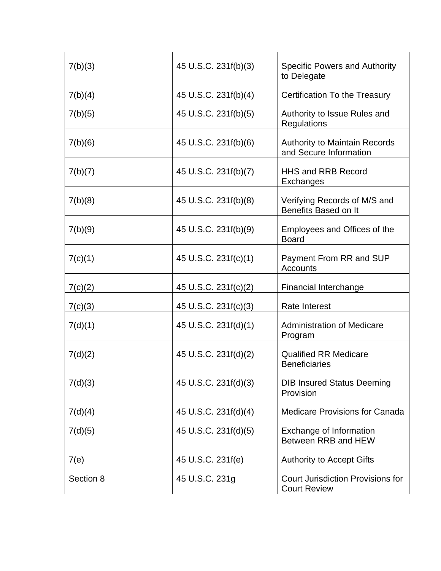| 7(b)(3)   | 45 U.S.C. 231f(b)(3) | <b>Specific Powers and Authority</b><br>to Delegate             |
|-----------|----------------------|-----------------------------------------------------------------|
| 7(b)(4)   | 45 U.S.C. 231f(b)(4) | Certification To the Treasury                                   |
| 7(b)(5)   | 45 U.S.C. 231f(b)(5) | Authority to Issue Rules and<br>Regulations                     |
| 7(b)(6)   | 45 U.S.C. 231f(b)(6) | <b>Authority to Maintain Records</b><br>and Secure Information  |
| 7(b)(7)   | 45 U.S.C. 231f(b)(7) | <b>HHS and RRB Record</b><br>Exchanges                          |
| 7(b)(8)   | 45 U.S.C. 231f(b)(8) | Verifying Records of M/S and<br>Benefits Based on It            |
| 7(b)(9)   | 45 U.S.C. 231f(b)(9) | Employees and Offices of the<br><b>Board</b>                    |
| 7(c)(1)   | 45 U.S.C. 231f(c)(1) | Payment From RR and SUP<br>Accounts                             |
| 7(c)(2)   | 45 U.S.C. 231f(c)(2) | <b>Financial Interchange</b>                                    |
| 7(c)(3)   | 45 U.S.C. 231f(c)(3) | <b>Rate Interest</b>                                            |
| 7(d)(1)   | 45 U.S.C. 231f(d)(1) | <b>Administration of Medicare</b><br>Program                    |
| 7(d)(2)   | 45 U.S.C. 231f(d)(2) | <b>Qualified RR Medicare</b><br><b>Beneficiaries</b>            |
| 7(d)(3)   | 45 U.S.C. 231f(d)(3) | <b>DIB Insured Status Deeming</b><br>Provision                  |
| 7(d)(4)   | 45 U.S.C. 231f(d)(4) | <b>Medicare Provisions for Canada</b>                           |
| 7(d)(5)   | 45 U.S.C. 231f(d)(5) | Exchange of Information<br>Between RRB and HEW                  |
| 7(e)      | 45 U.S.C. 231f(e)    | <b>Authority to Accept Gifts</b>                                |
| Section 8 | 45 U.S.C. 231g       | <b>Court Jurisdiction Provisions for</b><br><b>Court Review</b> |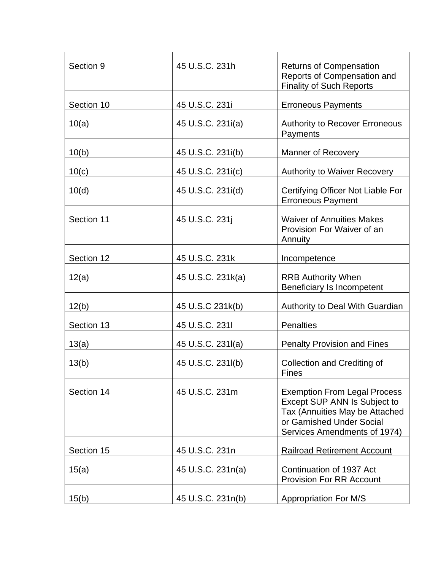| Section 9  | 45 U.S.C. 231h    | <b>Returns of Compensation</b><br>Reports of Compensation and<br><b>Finality of Such Reports</b>                                                                   |
|------------|-------------------|--------------------------------------------------------------------------------------------------------------------------------------------------------------------|
| Section 10 | 45 U.S.C. 231i    | <b>Erroneous Payments</b>                                                                                                                                          |
| 10(a)      | 45 U.S.C. 231i(a) | <b>Authority to Recover Erroneous</b><br>Payments                                                                                                                  |
| 10(b)      | 45 U.S.C. 231i(b) | <b>Manner of Recovery</b>                                                                                                                                          |
| 10(c)      | 45 U.S.C. 231i(c) | <b>Authority to Waiver Recovery</b>                                                                                                                                |
| 10(d)      | 45 U.S.C. 231i(d) | Certifying Officer Not Liable For<br><b>Erroneous Payment</b>                                                                                                      |
| Section 11 | 45 U.S.C. 231j    | <b>Waiver of Annuities Makes</b><br>Provision For Waiver of an<br>Annuity                                                                                          |
| Section 12 | 45 U.S.C. 231k    | Incompetence                                                                                                                                                       |
| 12(a)      | 45 U.S.C. 231k(a) | <b>RRB Authority When</b><br>Beneficiary Is Incompetent                                                                                                            |
| 12(b)      | 45 U.S.C 231k(b)  | Authority to Deal With Guardian                                                                                                                                    |
| Section 13 | 45 U.S.C. 2311    | <b>Penalties</b>                                                                                                                                                   |
| 13(a)      | 45 U.S.C. 231I(a) | <b>Penalty Provision and Fines</b>                                                                                                                                 |
| 13(b)      | 45 U.S.C. 231l(b) | Collection and Crediting of<br>Fines                                                                                                                               |
| Section 14 | 45 U.S.C. 231m    | <b>Exemption From Legal Process</b><br>Except SUP ANN Is Subject to<br>Tax (Annuities May be Attached<br>or Garnished Under Social<br>Services Amendments of 1974) |
| Section 15 | 45 U.S.C. 231n    | <b>Railroad Retirement Account</b>                                                                                                                                 |
| 15(a)      | 45 U.S.C. 231n(a) | Continuation of 1937 Act<br><b>Provision For RR Account</b>                                                                                                        |
| 15(b)      | 45 U.S.C. 231n(b) | <b>Appropriation For M/S</b>                                                                                                                                       |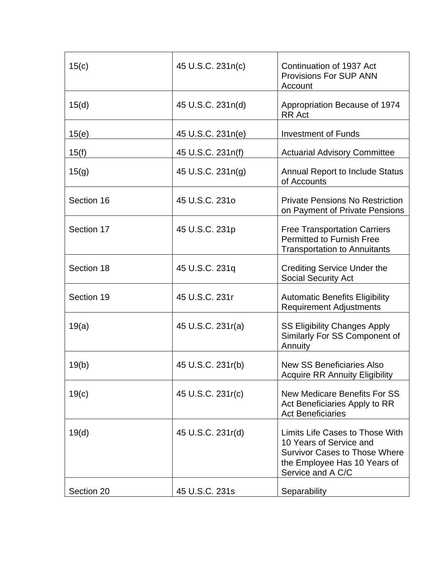| 15(c)      | 45 U.S.C. 231n(c) | Continuation of 1937 Act<br><b>Provisions For SUP ANN</b><br>Account                                                                                    |
|------------|-------------------|---------------------------------------------------------------------------------------------------------------------------------------------------------|
| 15(d)      | 45 U.S.C. 231n(d) | Appropriation Because of 1974<br><b>RR</b> Act                                                                                                          |
| 15(e)      | 45 U.S.C. 231n(e) | <b>Investment of Funds</b>                                                                                                                              |
| 15(f)      | 45 U.S.C. 231n(f) | <b>Actuarial Advisory Committee</b>                                                                                                                     |
| 15(g)      | 45 U.S.C. 231n(g) | <b>Annual Report to Include Status</b><br>of Accounts                                                                                                   |
| Section 16 | 45 U.S.C. 2310    | <b>Private Pensions No Restriction</b><br>on Payment of Private Pensions                                                                                |
| Section 17 | 45 U.S.C. 231p    | <b>Free Transportation Carriers</b><br>Permitted to Furnish Free<br><b>Transportation to Annuitants</b>                                                 |
| Section 18 | 45 U.S.C. 231q    | <b>Crediting Service Under the</b><br><b>Social Security Act</b>                                                                                        |
| Section 19 | 45 U.S.C. 231r    | <b>Automatic Benefits Eligibility</b><br><b>Requirement Adjustments</b>                                                                                 |
| 19(a)      | 45 U.S.C. 231r(a) | <b>SS Eligibility Changes Apply</b><br>Similarly For SS Component of<br>Annuity                                                                         |
| 19(b)      | 45 U.S.C. 231r(b) | <b>New SS Beneficiaries Also</b><br><b>Acquire RR Annuity Eligibility</b>                                                                               |
| 19(c)      | 45 U.S.C. 231r(c) | <b>New Medicare Benefits For SS</b><br>Act Beneficiaries Apply to RR<br><b>Act Beneficiaries</b>                                                        |
| 19(d)      | 45 U.S.C. 231r(d) | Limits Life Cases to Those With<br>10 Years of Service and<br><b>Survivor Cases to Those Where</b><br>the Employee Has 10 Years of<br>Service and A C/C |
| Section 20 | 45 U.S.C. 231s    | Separability                                                                                                                                            |